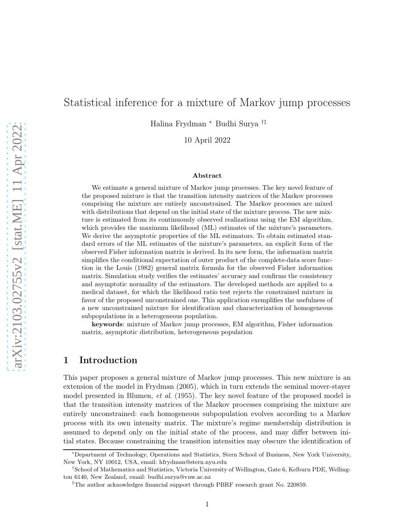# Statistical inference for a mixture of Markov jump processes

Halina Frydman <sup>∗</sup> Budhi Surya †‡

10 April 2022

#### Abstract

We estimate a general mixture of Markov jump processes. The key novel feature of the proposed mixture is that the transition intensity matrices of the Markov processes comprising the mixture are entirely unconstrained. The Markov processes are mixed with distributions that depend on the initial state of the mixture process. The new mixture is estimated from its continuously observed realizations using the EM algorithm, which provides the maximum likelihood (ML) estimates of the mixture's parameters. We derive the asymptotic properties of the ML estimators. To obtain estimated standard errors of the ML estimates of the mixture's parameters, an explicit form of the observed Fisher information matrix is derived. In its new form, the information matrix simplifies the conditional expectation of outer product of the complete-data score function in the Louis (1982) general matrix formula for the observed Fisher information matrix. Simulation study verifies the estimates' accuracy and confirms the consistency and asymptotic normality of the estimators. The developed methods are applied to a medical dataset, for which the likelihood ratio test rejects the constrained mixture in favor of the proposed unconstrained one. This application exemplifies the usefulness of a new unconstrained mixture for identification and characterization of homogeneous subpopulations in a heterogeneous population.

keywords: mixture of Markov jump processes, EM algorithm, Fisher information matrix, asymptotic distribution, heterogeneous population

#### 1 Introduction

This paper proposes a general mixture of Markov jump processes. This new mixture is an extension of the model in Frydman (2005), which in turn extends the seminal mover-stayer model presented in Blumen, et al. (1955). The key novel feature of the proposed model is that the transition intensity matrices of the Markov processes comprising the mixture are entirely unconstrained: each homogeneous subpopulation evolves according to a Markov process with its own intensity matrix. The mixture's regime membership distribution is assumed to depend only on the initial state of the process, and may differ between initial states. Because constraining the transition intensities may obscure the identification of

<sup>∗</sup>Department of Technology, Operations and Statistics, Stern School of Business, New York University, New York, NY 10012, USA, email: hfrydman@stern.nyu.edu

<sup>†</sup>School of Mathematics and Statistics, Victoria University of Wellington, Gate 6, Kelburn PDE, Wellington 6140, New Zealand, email: budhi.surya@vuw.ac.nz

<sup>‡</sup>The author acknowledges financial support through PBRF research grant No. 220859.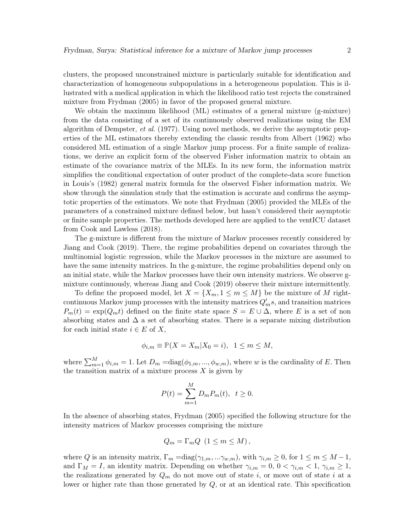clusters, the proposed unconstrained mixture is particularly suitable for identification and characterization of homogeneous subpopulations in a heterogeneous population. This is illustrated with a medical application in which the likelihood ratio test rejects the constrained mixture from Frydman (2005) in favor of the proposed general mixture.

We obtain the maximum likelihood (ML) estimates of a general mixture (g-mixture) from the data consisting of a set of its continuously observed realizations using the EM algorithm of Dempster, et al. (1977). Using novel methods, we derive the asymptotic properties of the ML estimators thereby extending the classic results from Albert (1962) who considered ML estimation of a single Markov jump process. For a finite sample of realizations, we derive an explicit form of the observed Fisher information matrix to obtain an estimate of the covariance matrix of the MLEs. In its new form, the information matrix simplifies the conditional expectation of outer product of the complete-data score function in Louis's (1982) general matrix formula for the observed Fisher information matrix. We show through the simulation study that the estimation is accurate and confirms the asymptotic properties of the estimators. We note that Frydman (2005) provided the MLEs of the parameters of a constrained mixture defined below, but hasn't considered their asymptotic or finite sample properties. The methods developed here are applied to the ventICU dataset from Cook and Lawless (2018).

The g-mixture is different from the mixture of Markov processes recently considered by Jiang and Cook (2019). There, the regime probabilities depend on covariates through the multinomial logistic regression, while the Markov processes in the mixture are assumed to have the same intensity matrices. In the g-mixture, the regime probabilities depend only on an initial state, while the Markov processes have their own intensity matrices. We observe gmixture continuously, whereas Jiang and Cook (2019) observe their mixture intermittently.

To define the proposed model, let  $X = \{X_m, 1 \leq m \leq M\}$  be the mixture of M rightcontinuous Markov jump processes with the intensity matrices  $Q'_m s$ , and transition matrices  $P_m(t) = \exp(Q_m t)$  defined on the finite state space  $S = E \cup \Delta$ , where E is a set of non absorbing states and  $\Delta$  a set of absorbing states. There is a separate mixing distribution for each initial state  $i \in E$  of X,

$$
\phi_{i,m}\equiv \mathbb{P}(X=X_m|X_0=i),\;\;1\leq m\leq M,
$$

where  $\sum_{m=1}^{M} \phi_{i,m} = 1$ . Let  $D_m = \text{diag}(\phi_{1,m}, ..., \phi_{w,m})$ , where w is the cardinality of E. Then the transition matrix of a mixture process  $X$  is given by

$$
P(t) = \sum_{m=1}^{M} D_m P_m(t), \ \ t \ge 0.
$$

In the absence of absorbing states, Frydman (2005) specified the following structure for the intensity matrices of Markov processes comprising the mixture

$$
Q_m = \Gamma_m Q \ \left( 1 \le m \le M \right),
$$

where Q is an intensity matrix,  $\Gamma_m = \text{diag}(\gamma_{1,m},...\gamma_{w,m})$ , with  $\gamma_{i,m} \geq 0$ , for  $1 \leq m \leq M-1$ , and  $\Gamma_M = I$ , an identity matrix. Depending on whether  $\gamma_{i,m} = 0, 0 < \gamma_{i,m} < 1, \gamma_{i,m} \geq 1$ , the realizations generated by  $Q_m$  do not move out of state i, or move out of state i at a lower or higher rate than those generated by  $Q$ , or at an identical rate. This specification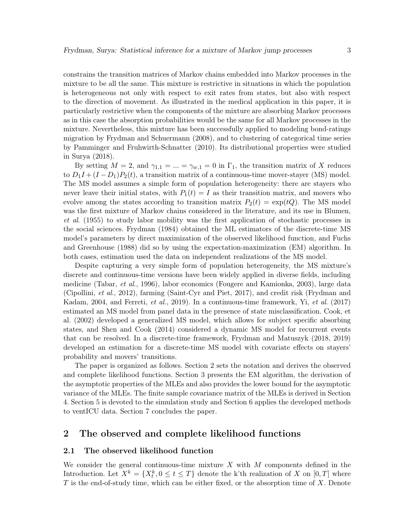constrains the transition matrices of Markov chains embedded into Markov processes in the mixture to be all the same. This mixture is restrictive in situations in which the population is heterogeneous not only with respect to exit rates from states, but also with respect to the direction of movement. As illustrated in the medical application in this paper, it is particularly restrictive when the components of the mixture are absorbing Markov processes as in this case the absorption probabilities would be the same for all Markov processes in the mixture. Nevertheless, this mixture has been successfully applied to modeling bond-ratings migration by Frydman and Schuermann (2008), and to clustering of categorical time series by Pamminger and Fruhwirth-Schnatter (2010). Its distributional properties were studied in Surya (2018).

By setting  $M = 2$ , and  $\gamma_{1,1} = ... = \gamma_{w,1} = 0$  in  $\Gamma_1$ , the transition matrix of X reduces to  $D_1I + (I - D_1)P_2(t)$ , a transition matrix of a continuous-time mover-stayer (MS) model. The MS model assumes a simple form of population heterogeneity: there are stayers who never leave their initial states, with  $P_1(t) = I$  as their transition matrix, and movers who evolve among the states according to transition matrix  $P_2(t) = \exp(tQ)$ . The MS model was the first mixture of Markov chains considered in the literature, and its use in Blumen, et al. (1955) to study labor mobility was the first application of stochastic processes in the social sciences. Frydman (1984) obtained the ML estimators of the discrete-time MS model's parameters by direct maximization of the observed likelihood function, and Fuchs and Greenhouse (1988) did so by using the expectation-maximization (EM) algorithm. In both cases, estimation used the data on independent realizations of the MS model.

Despite capturing a very simple form of population heterogeneity, the MS mixture's discrete and continuous-time versions have been widely applied in diverse fields, including medicine (Tabar, et al., 1996), labor economics (Fougere and Kamionka, 2003), large data (Cipollini, et al., 2012), farming (Saint-Cyr and Piet, 2017), and credit risk (Frydman and Kadam, 2004, and Ferreti, et al., 2019). In a continuous-time framework, Yi, et al. (2017) estimated an MS model from panel data in the presence of state misclassification. Cook, et al. (2002) developed a generalized MS model, which allows for subject specific absorbing states, and Shen and Cook (2014) considered a dynamic MS model for recurrent events that can be resolved. In a discrete-time framework, Frydman and Matuszyk (2018, 2019) developed an estimation for a discrete-time MS model with covariate effects on stayers' probability and movers' transitions.

The paper is organized as follows. Section 2 sets the notation and derives the observed and complete likelihood functions. Section 3 presents the EM algorithm, the derivation of the asymptotic properties of the MLEs and also provides the lower bound for the asymptotic variance of the MLEs. The finite sample covariance matrix of the MLEs is derived in Section 4. Section 5 is devoted to the simulation study and Section 6 applies the developed methods to ventICU data. Section 7 concludes the paper.

## 2 The observed and complete likelihood functions

#### 2.1 The observed likelihood function

We consider the general continuous-time mixture  $X$  with  $M$  components defined in the Introduction. Let  $X^k = \{X_t^k, 0 \le t \le T\}$  denote the k'th realization of X on  $[0, T]$  where  $T$  is the end-of-study time, which can be either fixed, or the absorption time of  $X$ . Denote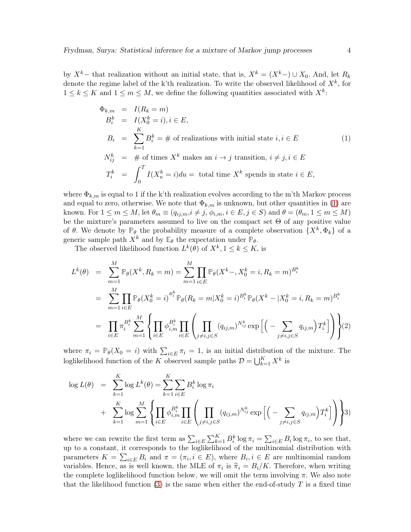by  $X^k$ − that realization without an initial state, that is,  $X^k = (X^k) \cup X_0$ . And, let  $R_k$ denote the regime label of the k'th realization. To write the observed likelihood of  $X^k$ , for  $1 \leq k \leq K$  and  $1 \leq m \leq M$ , we define the following quantities associated with  $X^k$ :

<span id="page-3-0"></span>
$$
\Phi_{k,m} = I(R_k = m)
$$
  
\n
$$
B_i^k = I(X_0^k = i), i \in E,
$$
  
\n
$$
B_i = \sum_{k=1}^K B_i^k = \# \text{ of realizations with initial state } i, i \in E
$$
  
\n
$$
N_{ij}^k = \# \text{ of times } X^k \text{ makes an } i \to j \text{ transition, } i \neq j, i \in E
$$
  
\n
$$
T_i^k = \int_0^T I(X_u^k = i) du = \text{ total time } X^k \text{ spends in state } i \in E,
$$

where  $\Phi_{k,m}$  is equal to 1 if the k'th realization evolves according to the m'th Markov process and equal to zero, otherwise. We note that  $\Phi_{k,m}$  is unknown, but other quantities in [\(1\)](#page-3-0) are known. For  $1 \leq m \leq M$ , let  $\theta_m \equiv (q_{ij,m}, i \neq j, \phi_{i,m}, i \in E, j \in S)$  and  $\theta = (\theta_m, 1 \leq m \leq M)$ be the mixture's parameters assumed to live on the compact set  $\Theta$  of any positive value of  $\theta$ . We denote by  $\mathbb{P}_{\theta}$  the probability measure of a complete observation  $\{X^k, \Phi_k\}$  of a generic sample path  $X^k$  and by  $\mathbb{E}_{\theta}$  the expectation under  $\mathbb{P}_{\theta}$ .

The observed likelihood function  $L^k(\theta)$  of  $X^k, 1 \leq k \leq K$ , is

$$
L^{k}(\theta) = \sum_{m=1}^{M} \mathbb{P}_{\theta}(X^{k}, R_{k} = m) = \sum_{m=1}^{M} \prod_{i \in E} \mathbb{P}_{\theta}(X^{k} - X_{0}^{k} = i, R_{k} = m)^{B_{i}^{k}}
$$
  
\n
$$
= \sum_{m=1}^{M} \prod_{i \in E} \mathbb{P}_{\theta}(X_{0}^{k} = i)^{B_{i}^{k}} \mathbb{P}_{\theta}(R_{k} = m | X_{0}^{k} = i)^{B_{i}^{k}} \mathbb{P}_{\theta}(X^{k} - | X_{0}^{k} = i, R_{k} = m)^{B_{i}^{k}}
$$
  
\n
$$
= \prod_{i \in E} \pi_{i}^{B_{i}^{k}} \sum_{m=1}^{M} \left\{ \prod_{i \in E} \phi_{i,m}^{B_{i}^{k}} \prod_{i \in E} \left( \prod_{j \neq i, j \in S} (q_{ij,m})^{N_{ij}^{k}} \exp \left[ \left( - \sum_{j \neq i, j \in S} q_{ij,m} \right) T_{i}^{k} \right] \right) \right\} (2)
$$

where  $\pi_i = \mathbb{P}_{\theta}(X_0 = i)$  with  $\sum_{i \in E} \pi_i = 1$ , is an initial distribution of the mixture. The loglikelihood function of the K observed sample paths  $\mathcal{D} = \bigcup_{k=1}^K X^k$  is

$$
\log L(\theta) = \sum_{k=1}^{K} \log L^{k}(\theta) = \sum_{k=1}^{K} \sum_{i \in E} B_{i}^{k} \log \pi_{i}
$$
  
+ 
$$
\sum_{k=1}^{K} \log \sum_{m=1}^{M} \left\{ \prod_{i \in E} \phi_{i,m}^{B_{i}^{k}} \prod_{i \in E} \left( \prod_{j \neq i,j \in S} (q_{ij,m})^{N_{ij}^{k}} \exp \left[ \left( - \sum_{j \neq i,j \in S} q_{ij,m} \right) T_{i}^{k} \right] \right) \right\}^{3}
$$

where we can rewrite the first term as  $\sum_{i\in E}\sum_{k=1}^K B_i^k \log \pi_i = \sum_{i\in E} B_i \log \pi_i$ , to see that, up to a constant, it corresponds to the loglikelihood of the multinomial distribution with parameters  $K = \sum_{i \in E} B_i$  and  $\pi = (\pi_i, i \in E)$ , where  $B_i, i \in E$  are multinomial random variables. Hence, as is well known, the MLE of  $\pi_i$  is  $\hat{\pi}_i = B_i/K$ . Therefore, when writing the complete loglikelihood function below, we will omit the term involving  $\pi$ . We also note that the likelihood function  $(3)$  is the same when either the end-of-study T is a fixed time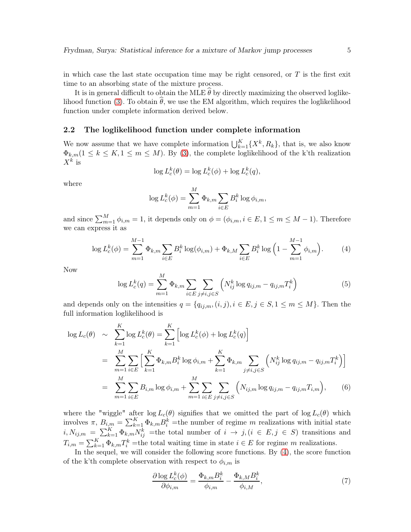in which case the last state occupation time may be right censored, or  $T$  is the first exit time to an absorbing state of the mixture process.

It is in general difficult to obtain the MLE  $\hat{\theta}$  by directly maximizing the observed loglike-lihood function [\(3\)](#page-35-0). To obtain  $\hat{\theta}$ , we use the EM algorithm, which requires the loglikelihood function under complete information derived below.

#### 2.2 The loglikelihood function under complete information

We now assume that we have complete information  $\bigcup_{k=1}^{K} {\{X^k, R_k\}}$ , that is, we also know  $\Phi_{k,m}$ ( $1 \leq k \leq K, 1 \leq m \leq M$ ). By [\(3\)](#page-35-0), the complete loglikelihood of the k'th realization  $X^k$  is

$$
\log L_c^k(\theta) = \log L_c^k(\phi) + \log L_c^k(q),
$$

where

$$
\log L_c^k(\phi) = \sum_{m=1}^M \Phi_{k,m} \sum_{i \in E} B_i^k \log \phi_{i,m},
$$

and since  $\sum_{m=1}^{M} \phi_{i,m} = 1$ , it depends only on  $\phi = (\phi_{i,m}, i \in E, 1 \le m \le M - 1)$ . Therefore we can express it as

<span id="page-4-0"></span>
$$
\log L_c^k(\phi) = \sum_{m=1}^{M-1} \Phi_{k,m} \sum_{i \in E} B_i^k \log(\phi_{i,m}) + \Phi_{k,M} \sum_{i \in E} B_i^k \log\left(1 - \sum_{m=1}^{M-1} \phi_{i,m}\right).
$$
 (4)

Now

<span id="page-4-1"></span>
$$
\log L_c^k(q) = \sum_{m=1}^M \Phi_{k,m} \sum_{i \in E} \sum_{j \neq i,j \in S} \left( N_{ij}^k \log q_{ij,m} - q_{ij,m} T_i^k \right) \tag{5}
$$

and depends only on the intensities  $q = \{q_{ij,m}, (i,j), i \in E, j \in S, 1 \leq m \leq M\}$ . Then the full information loglikelihood is

<span id="page-4-2"></span>
$$
\log L_c(\theta) \sim \sum_{k=1}^K \log L_c^k(\theta) = \sum_{k=1}^K \left[ \log L_c^k(\phi) + \log L_c^k(q) \right]
$$
  
= 
$$
\sum_{m=1}^M \sum_{i \in E} \left[ \sum_{k=1}^K \Phi_{k,m} B_i^k \log \phi_{i,m} + \sum_{k=1}^K \Phi_{k,m} \sum_{j \neq i,j \in S} \left( N_{ij}^k \log q_{ij,m} - q_{ij,m} T_i^k \right) \right]
$$
  
= 
$$
\sum_{m=1}^M \sum_{i \in E} B_{i,m} \log \phi_{i,m} + \sum_{m=1}^M \sum_{i \in E} \sum_{j \neq i,j \in S} \left( N_{ij,m} \log q_{ij,m} - q_{ij,m} T_{i,m} \right),
$$
(6)

where the "wiggle" after  $\log L_c(\theta)$  signifies that we omitted the part of  $\log L_c(\theta)$  which involves  $\pi$ ,  $B_{i,m} = \sum_{k=1}^{K} \Phi_{k,m} B_i^k$  =the number of regime m realizations with initial state  $i, N_{ij,m} = \sum_{k=1}^{K} \Phi_{k,m} N_{ij}^k$  =the total number of  $i \to j$ ,  $(i \in E, j \in S)$  transitions and  $T_{i,m} = \sum_{k=1}^{K} \Phi_{k,m} T_i^k$  =the total waiting time in state  $i \in E$  for regime m realizations.

In the sequel, we will consider the following score functions. By [\(4\)](#page-4-0), the score function of the k'th complete observation with respect to  $\phi_{i,m}$  is

<span id="page-4-3"></span>
$$
\frac{\partial \log L_c^k(\phi)}{\partial \phi_{i,m}} = \frac{\Phi_{k,m} B_i^k}{\phi_{i,m}} - \frac{\Phi_{k,M} B_i^k}{\phi_{i,M}},\tag{7}
$$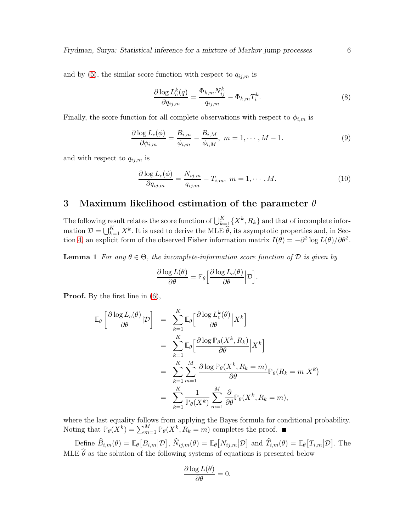and by [\(5\)](#page-4-1), the similar score function with respect to  $q_{ij,m}$  is

<span id="page-5-3"></span>
$$
\frac{\partial \log L_c^k(q)}{\partial q_{ij,m}} = \frac{\Phi_{k,m} N_{ij}^k}{q_{ij,m}} - \Phi_{k,m} T_i^k.
$$
\n(8)

Finally, the score function for all complete observations with respect to  $\phi_{i,m}$  is

<span id="page-5-0"></span>
$$
\frac{\partial \log L_c(\phi)}{\partial \phi_{i,m}} = \frac{B_{i,m}}{\phi_{i,m}} - \frac{B_{i,M}}{\phi_{i,M}}, \ m = 1, \cdots, M-1.
$$
 (9)

and with respect to  $q_{ij,m}$  is

<span id="page-5-2"></span>
$$
\frac{\partial \log L_c(\phi)}{\partial q_{ij,m}} = \frac{N_{ij,m}}{q_{ij,m}} - T_{i,m}, \ m = 1, \cdots, M. \tag{10}
$$

## 3 Maximum likelihood estimation of the parameter  $\theta$

The following result relates the score function of  $\bigcup_{k=1}^K \{X^k, R_k\}$  and that of incomplete information  $\mathcal{D} = \bigcup_{k=1}^K X^k$ . It is used to derive the MLE  $\widehat{\theta}$ , its asymptotic properties and, in Sec-tion [4,](#page-10-0) an explicit form of the observed Fisher information matrix  $I(\theta) = -\partial^2 \log L(\theta) / \partial \theta^2$ .

<span id="page-5-1"></span>**Lemma 1** For any  $\theta \in \Theta$ , the incomplete-information score function of D is given by

$$
\frac{\partial \log L(\theta)}{\partial \theta} = \mathbb{E}_{\theta} \Big[ \frac{\partial \log L_c(\theta)}{\partial \theta} \Big| \mathcal{D} \Big].
$$

Proof. By the first line in [\(6\)](#page-4-2),

$$
\mathbb{E}_{\theta}\left[\frac{\partial \log L_{c}(\theta)}{\partial \theta}|\mathcal{D}\right] = \sum_{k=1}^{K} \mathbb{E}_{\theta}\left[\frac{\partial \log L_{c}^{k}(\theta)}{\partial \theta}\Big|X^{k}\right]
$$
  
\n
$$
= \sum_{k=1}^{K} \mathbb{E}_{\theta}\left[\frac{\partial \log \mathbb{P}_{\theta}(X^{k}, R_{k})}{\partial \theta}\Big|X^{k}\right]
$$
  
\n
$$
= \sum_{k=1}^{K} \sum_{m=1}^{M} \frac{\partial \log \mathbb{P}_{\theta}(X^{k}, R_{k} = m)}{\partial \theta} \mathbb{P}_{\theta}(R_{k} = m|X^{k})
$$
  
\n
$$
= \sum_{k=1}^{K} \frac{1}{\mathbb{P}_{\theta}(X^{k})} \sum_{m=1}^{M} \frac{\partial}{\partial \theta} \mathbb{P}_{\theta}(X^{k}, R_{k} = m),
$$

where the last equality follows from applying the Bayes formula for conditional probability. Noting that  $\mathbb{P}_{\theta}(X^k) = \sum_{m=1}^M \mathbb{P}_{\theta}(X^k, R_k = m)$  completes the proof.

Define  $\widehat{B}_{i,m}(\theta) = \mathbb{E}_{\theta}\big[B_{i,m}|\mathcal{D}\big], \widehat{N}_{ij,m}(\theta) = \mathbb{E}_{\theta}\big[N_{ij,m}|\mathcal{D}\big]$  and  $\widehat{T}_{i,m}(\theta) = \mathbb{E}_{\theta}\big[T_{i,m}|\mathcal{D}\big].$  The MLE  $\widehat{\theta}$  as the solution of the following systems of equations is presented below

$$
\frac{\partial \log L(\theta)}{\partial \theta} = 0.
$$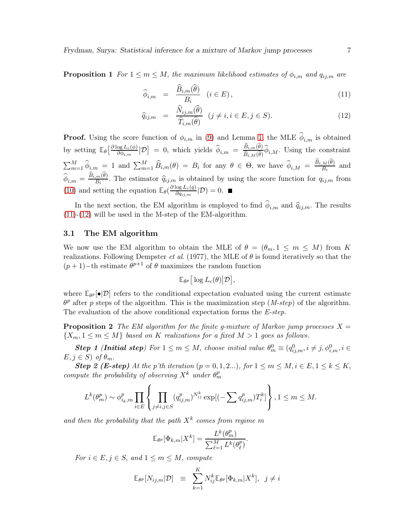**Proposition 1** For  $1 \leq m \leq M$ , the maximum likelihood estimates of  $\phi_{i,m}$  and  $q_{ij,m}$  are

<span id="page-6-0"></span>
$$
\widehat{\phi}_{i,m} = \frac{\widehat{B}_{i,m}(\widehat{\theta})}{B_i} \quad (i \in E), \tag{11}
$$

$$
\widehat{q}_{ij,m} = \frac{\widehat{N}_{ij,m}(\widehat{\theta})}{\widehat{T}_{i,m}(\widehat{\theta})} \quad (j \neq i, i \in E, j \in S). \tag{12}
$$

**Proof.** Using the score function of  $\phi_{i,m}$  in [\(9\)](#page-5-0) and Lemma [1,](#page-5-1) the MLE  $\phi_{i,m}$  is obtained by setting  $\mathbb{E}_{\theta} \left[ \frac{\partial \log L_c(\phi)}{\partial \phi_{i,m}} \right]$  $\frac{\partial g L_c(\phi)}{\partial \phi_{i,m}}$   $[\mathcal{D}] = 0$ , which yields  $\hat{\phi}_{i,m} = \frac{\hat{B}_{i,m}(\hat{\theta})}{\hat{B}_{i,M}(\hat{\theta})}$  $\frac{B_{i,m}(0)}{\widehat{B}_{i,M}(\widehat{\theta})}\phi_{i,M}$ . Using the constraint  $\sum_{m=1}^{M} \hat{\phi}_{i,m} = 1$  and  $\sum_{m=1}^{M} \hat{B}_{i,m}(\theta) = B_i$  for any  $\theta \in \Theta$ , we have  $\hat{\phi}_{i,M} = \frac{\hat{B}_{i,M}(\hat{\theta})}{B_i}$  $\frac{M(V)}{B_i}$  and  $\widehat{\phi}_{i,m} = \frac{\widehat{B}_{i,m}(\widehat{\theta})}{B_i}$  $\frac{d^m(v)}{B_i}$ . The estimator  $\hat{q}_{ij,m}$  is obtained by using the score function for  $q_{ij,m}$  from [\(10\)](#page-5-2) and setting the equation  $\mathbb{E}_{\theta}(\frac{\partial \log L_c(q)}{\partial q_{ijm}})$  $\frac{\log L_c(q)}{\partial q_{ij,m}}|\mathcal{D})=0.$ 

In the next section, the EM algorithm is employed to find  $\phi_{i,m}$  and  $\hat{q}_{ij,m}$ . The results  $(11)-(12)$  $(11)-(12)$  $(11)-(12)$  will be used in the M-step of the EM-algorithm.

#### 3.1 The EM algorithm

We now use the EM algorithm to obtain the MLE of  $\theta = (\theta_m, 1 \leq m \leq M)$  from K realizations. Following Dempster *et al.* (1977), the MLE of  $\theta$  is found iteratively so that the  $(p+1)$ -th estimate  $\theta^{p+1}$  of  $\theta$  maximizes the random function

$$
\mathbb{E}_{\theta^p} \big[ \log L_c(\theta) \big| \mathcal{D} \big],
$$

where  $\mathbb{E}_{\theta^p}[\bullet|\mathcal{D}]$  refers to the conditional expectation evaluated using the current estimate  $\theta^p$  after p steps of the algorithm. This is the maximization step (M-step) of the algorithm. The evaluation of the above conditional expectation forms the E-step.

**Proposition 2** The EM algorithm for the finite g-mixture of Markov jump processes  $X =$  $\{X_m, 1 \leq m \leq M\}$  based on K realizations for a fixed  $M > 1$  goes as follows.

**Step 1 (Initial step)** For  $1 \le m \le M$ , choose initial value  $\theta_m^0 \equiv (q_{ij,m}^0, i \ne j, \phi_{i,m}^0, i \in$  $E, j \in S$ ) of  $\theta_m$ .

**Step 2 (E-step)** At the p'th iteration  $(p = 0, 1, 2...)$ , for  $1 \le m \le M$ ,  $i \in E$ ,  $1 \le k \le K$ , compute the probability of observing  $X^k$  under  $\theta_m^p$ 

$$
L^k(\theta_m^p) \sim \phi_{i_k,m}^p \prod_{i \in E} \left\{ \prod_{j \neq i,j \in S} (q_{ij,m}^p)^{N_{ij}^k} \exp[(-\sum q_{ij,m}^p) T_i^k] \right\}, 1 \leq m \leq M.
$$

and then the probability that the path  $X^k$  comes from regime m

$$
\mathbb{E}_{\theta^p}[\Phi_{k,m}|X^k] = \frac{L^k(\theta_m^p)}{\sum_{\ell=1}^M L^k(\theta_\ell^p)}.
$$

For  $i \in E, j \in S$ , and  $1 \leq m \leq M$ , compute

$$
\mathbb{E}_{\theta^p}[N_{ij,m}|\mathcal{D}] \equiv \sum_{k=1}^K N_{ij}^k \mathbb{E}_{\theta^p}[\Phi_{k,m}|X^k], \ j \neq i
$$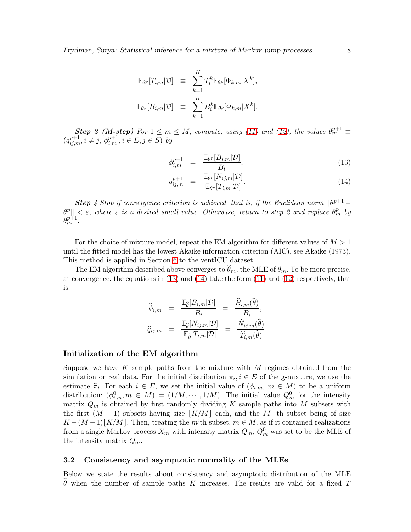$$
\mathbb{E}_{\theta^p}[T_{i,m}|\mathcal{D}] \equiv \sum_{k=1}^K T_i^k \mathbb{E}_{\theta^p}[\Phi_{k,m}|X^k],
$$
  

$$
\mathbb{E}_{\theta^p}[B_{i,m}|\mathcal{D}] \equiv \sum_{k=1}^K B_i^k \mathbb{E}_{\theta^p}[\Phi_{k,m}|X^k].
$$

**Step 3 (M-step)** For  $1 \le m \le M$ , compute, using [\(11\)](#page-6-0) and [\(12\)](#page-6-0), the values  $\theta_m^{p+1} \equiv$  $(q_{ij,m}^{p+1}, i \neq j, \, \phi_{i,m}^{p+1}, i \in E, j \in S)$  by

<span id="page-7-0"></span>
$$
\phi_{i,m}^{p+1} = \frac{\mathbb{E}_{\theta^p}[B_{i,m}|\mathcal{D}]}{B_i},\tag{13}
$$

$$
q_{ij,m}^{p+1} = \frac{\mathbb{E}_{\theta^p}[N_{ij,m}|\mathcal{D}]}{\mathbb{E}_{\theta^p}[T_{i,m}|\mathcal{D}]}.
$$
\n(14)

**Step 4** Stop if convergence criterion is achieved, that is, if the Euclidean norm  $||\theta^{p+1} - \theta^{p+1}||$  $\|\theta^p\| < \varepsilon$ , where  $\varepsilon$  is a desired small value. Otherwise, return to step 2 and replace  $\theta^p_m$  by  $\theta_m^{p+1}$ .

For the choice of mixture model, repeat the EM algorithm for different values of  $M > 1$ until the fitted model has the lowest Akaike information criterion (AIC), see Akaike (1973). This method is applied in Section [6](#page-15-0) to the ventICU dataset.

The EM algorithm described above converges to  $\hat{\theta}_m$ , the MLE of  $\theta_m$ . To be more precise, at convergence, the equations in [\(13\)](#page-7-0) and [\(14\)](#page-7-0) take the form [\(11\)](#page-6-0) and [\(12\)](#page-6-0) respectively, that is

$$
\begin{array}{rcl} \widehat{\phi}_{i,m} & = & \frac{\mathbb{E}_{\widehat{\theta}}[B_{i,m}|\mathcal{D}]}{B_i} & = & \frac{\widehat{B}_{i,m}(\widehat{\theta})}{B_i}, \\ \widehat{q}_{ij,m} & = & \frac{\mathbb{E}_{\widehat{\theta}}[N_{ij,m}|\mathcal{D}]}{\mathbb{E}_{\widehat{\theta}}[T_{i,m}|\mathcal{D}]} & = & \frac{\widehat{N}_{ij,m}(\widehat{\theta})}{\widehat{T}_{i,m}(\widehat{\theta})}. \end{array}
$$

#### Initialization of the EM algorithm

Suppose we have K sample paths from the mixture with  $M$  regimes obtained from the simulation or real data. For the initial distribution  $\pi_i, i \in E$  of the g-mixture, we use the estimate  $\hat{\pi}_i$ . For each  $i \in E$ , we set the initial value of  $(\phi_{i,m}, m \in M)$  to be a uniform distribution:  $(\phi_{i,m}^0, m \in M) = (1/M, \cdots, 1/M)$ . The initial value  $Q_m^0$  for the intensity matrix  $Q_m$  is obtained by first randomly dividing K sample paths into M subsets with the first  $(M-1)$  subsets having size  $|K/M|$  each, and the M-th subset being of size  $K - (M - 1) \lfloor K/M \rfloor$ . Then, treating the m'th subset,  $m \in M$ , as if it contained realizations from a single Markov process  $X_m$  with intensity matrix  $Q_m$ ,  $Q_m^0$  was set to be the MLE of the intensity matrix  $Q_m$ .

#### 3.2 Consistency and asymptotic normality of the MLEs

Below we state the results about consistency and asymptotic distribution of the MLE  $\theta$  when the number of sample paths K increases. The results are valid for a fixed T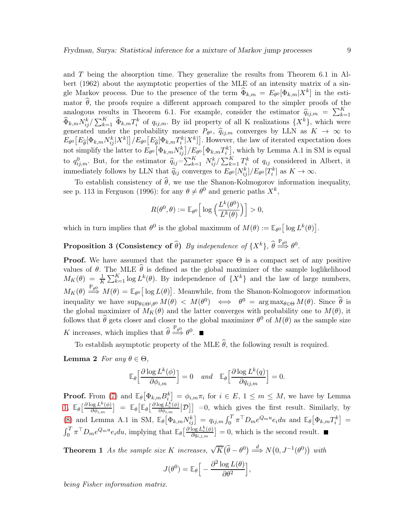and T being the absorption time. They generalize the results from Theorem 6.1 in Albert (1962) about the asymptotic properties of the MLE of an intensity matrix of a single Markov process. Due to the presence of the term  $\widehat{\Phi}_{k,m} = E_{\theta^0}[\Phi_{k,m}|X^k]$  in the estimator  $\hat{\theta}$ , the proofs require a different approach compared to the simpler proofs of the analogous results in Theorem 6.1. For example, consider the estimator  $\hat{q}_{ij,m} = \sum_{k=1}^{K} q_{ij,m}$  $k=1$  $\widehat{\Phi}_{k,m} N_{ij}^k / \sum_{k=1}^K \widehat{\Phi}_{k,m} T_i^k$  of  $q_{ij,m}$ . By iid property of all K realizations  $\{X^k\}$ , which were generated under the probability measure  $P_{\theta^0}$ ,  $\hat{q}_{ij,m}$  converges by LLN as  $K \to \infty$  to  $E_{\theta^0}\big[E_{\widehat{\theta}}[\Phi_{k,m}N_{ij}^k|X^k]\big]/E_{\theta^0}\big[E_{\widehat{\theta}}[\Phi_{k,m}T_i^k|X^k]\big]$ . However, the law of iterated expectation does

not simplify the latter to  $E_{\theta^0} \big[ \Phi_{k,m} N_{ij}^k \big] / E_{\theta^0} \big[ \Phi_{k,m} T_i^k \big]$ , which by Lemma A.1 in SM is equal to  $q_{ij,m}^0$ . But, for the estimator  $\hat{q}_{ij} = \sum_{k=1}^K N_{ij}^k / \sum_{k=1}^K T_k^k$  of  $q_{ij}$  considered in Albert, it immediately follows by LLN that  $\hat{q}_{ij}$  converges to  $E_{\theta^0}[N_{ij}^k]/E_{\theta^0}[T_i^k]$  as  $K \to \infty$ .

To establish consistency of  $\hat{\theta}$ , we use the Shanon-Kolmogorov information inequality, see p. 113 in Ferguson (1996): for any  $\theta \neq \theta^0$  and generic paths  $X^k$ ,

$$
R(\theta^0, \theta) := \mathbb{E}_{\theta^0} \left[ \log \left( \frac{L^k(\theta^0)}{L^k(\theta)} \right) \right] > 0,
$$

which in turn implies that  $\theta^0$  is the global maximum of  $M(\theta) := \mathbb{E}_{\theta^0} [\log L^k(\theta)].$ 

**Proposition 3 (Consistency of**  $\widehat{\theta}$ **)** By independence of  $\{X^k\}$ ,  $\widehat{\theta} \stackrel{\mathbb{P}_{\theta^0}}{\Longrightarrow} \theta^0$ .

**Proof.** We have assumed that the parameter space  $\Theta$  is a compact set of any positive values of  $\theta$ . The MLE  $\theta$  is defined as the global maximizer of the sample loglikelihood  $M_K(\theta) = \frac{1}{K} \sum_{k=1}^K \log L^k(\theta)$ . By independence of  $\{X^k\}$  and the law of large numbers,  $M_K(\theta) \stackrel{\mathbb{P}_{\theta^0}}{\Longrightarrow} M(\theta) = \mathbb{E}_{\theta^0} [\log L(\theta)].$  Meanwhile, from the Shanon-Kolmogorov information inequality we have  $\sup_{\theta \in \Theta \setminus \theta^0} M(\theta) < M(\theta) \iff \theta^0 = \arg \max_{\theta \in \Theta} M(\theta)$ . Since  $\widehat{\theta}$  is the global maximizer of  $\overrightarrow{M}_{K}(\theta)$  and the latter converges with probability one to  $M(\theta)$ , it follows that  $\hat{\theta}$  gets closer and closer to the global maximizer  $\theta^0$  of  $M(\theta)$  as the sample size K increases, which implies that  $\widehat{\theta} \stackrel{\mathbb{P}_{\theta^0}}{\Longrightarrow} \theta^0$ .

<span id="page-8-0"></span>To establish asymptotic property of the MLE  $\hat{\theta}$ , the following result is required.

Lemma 2 For any  $\theta \in \Theta$ ,

$$
\mathbb{E}_{\theta}\Big[\frac{\partial \log L^k(\phi)}{\partial \phi_{i,m}}\Big] = 0 \quad and \quad \mathbb{E}_{\theta}\Big[\frac{\partial \log L^k(q)}{\partial q_{ij,m}}\Big] = 0.
$$

**Proof.** From [\(7\)](#page-4-3) and  $\mathbb{E}_{\theta}[\Phi_{k,m}B_{i}^{k}] = \phi_{i,m}\pi_{i}$  for  $i \in E, 1 \leq m \leq M$ , we have by Lemma [1,](#page-5-1)  $\mathbb{E}_{\theta} \left[ \frac{\partial \log L^k(\phi)}{\partial \phi_{i,m}} \right]$  $\left[ \frac{\log L^k(\phi)}{\partial \phi_{i,m}} \right] = \mathbb{E}_{\theta} \Big[ \mathbb{E}_{\theta} \big[ \frac{\partial \log L^k_c(\phi)}{\partial \phi_{i,m}} \Big]$  $\frac{\log L_c^k(\phi)}{\partial \phi_{i,m}}$   $[\mathcal{D}]$  = 0, which gives the first result. Similarly, by [\(8\)](#page-5-3) and Lemma A.1 in SM,  $\mathbb{E}_{\theta}[\Phi_{k,m}N_{ij}^k] = q_{ij,m} \int_0^T \pi^{\top} D_m e^{Q_m u} e_i du$  and  $\mathbb{E}_{\theta}[\Phi_{k,m}T_i^k] =$  $\int_0^T \pi^{\top} D_m e^{Q_m u} e_i du$ , implying that  $\mathbb{E}_{\theta} \left[ \frac{\partial \log L_c^k(\phi)}{\partial q_{i,j,m}} \right]$  $\frac{\log L_c^k(\phi)}{\partial q_{i,j,m}}$  = 0, which is the second result.

**Theorem 1** As the sample size K increases,  $\sqrt{K}(\widehat{\theta} - \theta^0) \stackrel{d}{\Longrightarrow} N(0, J^{-1}(\theta^0))$  with

$$
J(\theta^0) = \mathbb{E}_{\theta} \Big[ -\frac{\partial^2 \log L(\theta)}{\partial \theta^2} \Big],
$$

being Fisher information matrix.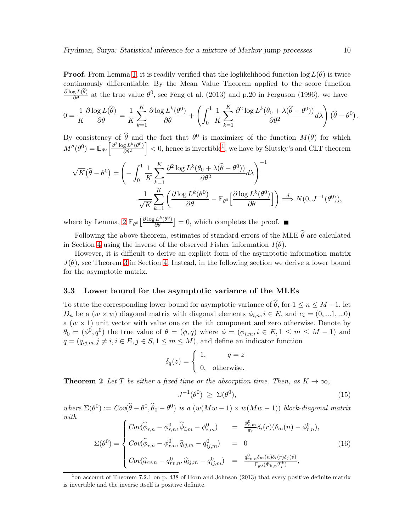**Proof.** From Lemma [1,](#page-5-1) it is readily verified that the loglikelihood function  $\log L(\theta)$  is twice continuously differentiable. By the Mean Value Theorem applied to the score function  $\frac{\partial \log L(\hat{\theta})}{\partial \theta}$  at the true value  $\theta^0$ , see Feng et al. (2013) and p.20 in Ferguson (1996), we have

$$
0 = \frac{1}{K} \frac{\partial \log L(\widehat{\theta})}{\partial \theta} = \frac{1}{K} \sum_{k=1}^{K} \frac{\partial \log L^{k}(\theta^{0})}{\partial \theta} + \left( \int_{0}^{1} \frac{1}{K} \sum_{k=1}^{K} \frac{\partial^{2} \log L^{k}(\theta_{0} + \lambda(\widehat{\theta} - \theta^{0}))}{\partial \theta^{2}} d\lambda \right) (\widehat{\theta} - \theta^{0}).
$$

By consistency of  $\hat{\theta}$  and the fact that  $\theta^0$  is maximizer of the function  $M(\theta)$  for which  $M''(\theta^0) = \mathbb{E}_{\theta^0} \left[ \frac{\partial^2 \log L^k(\theta^0)}{\partial \theta^2} \right]$  $\partial \theta^2$  $\vert$  < 0, hence is invertible<sup>[1](#page-9-0)</sup>, we have by Slutsky's and CLT theorem

$$
\sqrt{K}(\hat{\theta} - \theta^0) = \left( -\int_0^1 \frac{1}{K} \sum_{k=1}^K \frac{\partial^2 \log L^k(\theta_0 + \lambda(\hat{\theta} - \theta^0))}{\partial \theta^2} d\lambda \right)^{-1}
$$

$$
\frac{1}{\sqrt{K}} \sum_{k=1}^K \left( \frac{\partial \log L^k(\theta^0)}{\partial \theta} - \mathbb{E}_{\theta^0} \left[ \frac{\partial \log L^k(\theta^0)}{\partial \theta} \right] \right) \stackrel{d}{\implies} N(0, J^{-1}(\theta^0)),
$$

where by Lemma,  $2 \mathbb{E}_{\theta^0} \left[ \frac{\partial \log L^k(\theta^0)}{\partial \theta} \right] = 0$ , which completes the proof.

Following the above theorem, estimates of standard errors of the MLE  $\widehat{\theta}$  are calculated in Section [4](#page-10-0) using the inverse of the observed Fisher information  $I(\theta)$ .

However, it is difficult to derive an explicit form of the asymptotic information matrix  $J(\theta)$ , see Theorem [3](#page-10-1) in Section [4.](#page-10-0) Instead, in the following section we derive a lower bound for the asymptotic matrix.

#### 3.3 Lower bound for the asymptotic variance of the MLEs

To state the corresponding lower bound for asymptotic variance of  $\hat{\theta}$ , for  $1 \leq n \leq M-1$ , let  $D_n$  be a  $(w \times w)$  diagonal matrix with diagonal elements  $\phi_{i,n}$ ,  $i \in E$ , and  $e_i = (0, ...1, ...0)$ a  $(w \times 1)$  unit vector with value one on the ith component and zero otherwise. Denote by  $\theta_0 = (\phi^0, q^0)$  the true value of  $\theta = (\phi, q)$  where  $\phi = (\phi_{i,m}, i \in E, 1 \leq m \leq M - 1)$  and  $q = (q_{ij,m}, j \neq i, i \in E, j \in S, 1 \leq m \leq M)$ , and define an indicator function

$$
\delta_q(z) = \begin{cases} 1, & q = z \\ 0, & \text{otherwise.} \end{cases}
$$

**Theorem 2** Let T be either a fixed time or the absorption time. Then, as  $K \to \infty$ ,

<span id="page-9-1"></span>
$$
J^{-1}(\theta^0) \ge \Sigma(\theta^0), \tag{15}
$$

where  $\Sigma(\theta^0) := Cov(\hat{\theta} - \theta^0, \hat{\theta}_0 - \theta^0)$  is a  $(w(Mw - 1) \times w(Mw - 1))$  block-diagonal matrix with

<span id="page-9-2"></span>
$$
\Sigma(\theta^0) = \begin{cases}\n\text{Cov}(\widehat{\phi}_{r,n} - \phi_{r,n}^0, \widehat{\phi}_{i,m} - \phi_{i,m}^0) & = \frac{\phi_{r,m}^0}{\pi_r} \delta_i(r) (\delta_m(n) - \phi_{r,n}^0), \\
\text{Cov}(\widehat{\phi}_{r,n} - \phi_{r,n}^0, \widehat{q}_{ij,m} - q_{ij,m}^0) & = 0 \\
\text{Cov}(\widehat{q}_{rv,n} - q_{rv,n}^0, \widehat{q}_{ij,m} - q_{ij,m}^0) & = \frac{q_{rv,n}^0 \delta_m(n) \delta_i(r) \delta_j(v)}{\mathbb{E}_{\theta^0}(\Phi_{k,n} T_i^k)},\n\end{cases} (16)
$$

<span id="page-9-0"></span><sup>&</sup>lt;sup>1</sup> on account of Theorem 7.2.1 on p. 438 of Horn and Johnson (2013) that every positive definite matrix is invertible and the inverse itself is positive definite.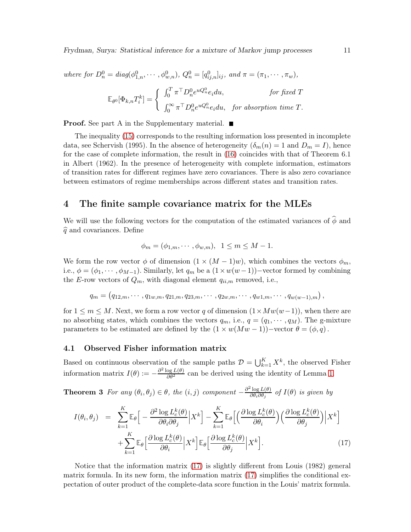Frydman, Surya: Statistical inference for a mixture of Markov jump processes 11

where for  $D_n^0 = diag(\phi_{1,n}^0, \dots, \phi_{w,n}^0), Q_n^0 = [q_{ij,n}^0]_{ij}$ , and  $\pi = (\pi_1, \dots, \pi_w)$ ,

$$
\mathbb{E}_{\theta^0}[\Phi_{k,n}T_i^k] = \left\{ \begin{array}{ll} \int_0^T \pi^\top D_n^0 e^{uQ_n^0} e_i du, & \text{for fixed } T \\[1mm] \int_0^\infty \pi^\top D_n^0 e^{uQ_n^0} e_i du, & \text{for absorption time } T. \end{array} \right.
$$

**Proof.** See part A in the Supplementary material.  $\blacksquare$ 

The inequality [\(15\)](#page-9-1) corresponds to the resulting information loss presented in incomplete data, see Schervish (1995). In the absence of heterogeneity  $(\delta_m(n) = 1 \text{ and } D_m = I)$ , hence for the case of complete information, the result in [\(16\)](#page-9-2) coincides with that of Theorem 6.1 in Albert (1962). In the presence of heterogeneity with complete information, estimators of transition rates for different regimes have zero covariances. There is also zero covariance between estimators of regime memberships across different states and transition rates.

## <span id="page-10-0"></span>4 The finite sample covariance matrix for the MLEs

We will use the following vectors for the computation of the estimated variances of  $\widehat{\phi}$  and  $\widehat{q}$  and covariances. Define

$$
\phi_m = (\phi_{1,m}, \cdots, \phi_{w,m}), \quad 1 \leq m \leq M-1.
$$

We form the row vector  $\phi$  of dimension  $(1 \times (M - 1)w)$ , which combines the vectors  $\phi_m$ , i.e.,  $\phi = (\phi_1, \dots, \phi_{M-1})$ . Similarly, let  $q_m$  be a  $(1 \times w(w-1))$ -vector formed by combining the E-row vectors of  $Q_m$ , with diagonal element  $q_{ii,m}$  removed, i.e.,

$$
q_m = (q_{12,m}, \cdots, q_{1w,m}, q_{21,m}, q_{23,m}, \cdots, q_{2w,m}, \cdots, q_{w1,m}, \cdots, q_{w(w-1),m}),
$$

for  $1 \leq m \leq M$ . Next, we form a row vector q of dimension  $(1 \times Mw(w-1))$ , when there are no absorbing states, which combines the vectors  $q_m$ , i.e.,  $q = (q_1, \dots, q_M)$ . The g-mixture parameters to be estimated are defined by the  $(1 \times w(Mw - 1))$  –vector  $\theta = (\phi, q)$ .

#### 4.1 Observed Fisher information matrix

<span id="page-10-1"></span>Based on continuous observation of the sample paths  $\mathcal{D} = \bigcup_{k=1}^K X^k$ , the observed Fisher information matrix  $I(\theta) := -\frac{\partial^2 \log L(\theta)}{\partial \theta^2}$  can be derived using the identity of Lemma [1.](#page-5-1)

**Theorem 3** For any  $(\theta_i, \theta_j) \in \theta$ , the  $(i, j)$  component  $-\frac{\partial^2 \log L(\theta)}{\partial \theta_i \partial \theta_j}$  $\frac{\log L(\theta)}{\partial \theta_i \partial \theta_j}$  of  $I(\theta)$  is given by

<span id="page-10-2"></span>
$$
I(\theta_i, \theta_j) = \sum_{k=1}^K \mathbb{E}_{\theta} \Big[ -\frac{\partial^2 \log L_c^k(\theta)}{\partial \theta_i \partial \theta_j} \Big| X^k \Big] - \sum_{k=1}^K \mathbb{E}_{\theta} \Big[ \Big( \frac{\partial \log L_c^k(\theta)}{\partial \theta_i} \Big) \Big( \frac{\partial \log L_c^k(\theta)}{\partial \theta_j} \Big) \Big| X^k \Big] + \sum_{k=1}^K \mathbb{E}_{\theta} \Big[ \frac{\partial \log L_c^k(\theta)}{\partial \theta_i} \Big| X^k \Big] \mathbb{E}_{\theta} \Big[ \frac{\partial \log L_c^k(\theta)}{\partial \theta_j} \Big| X^k \Big].
$$
 (17)

Notice that the information matrix [\(17\)](#page-10-2) is slightly different from Louis (1982) general matrix formula. In its new form, the information matrix [\(17\)](#page-10-2) simplifies the conditional expectation of outer product of the complete-data score function in the Louis' matrix formula.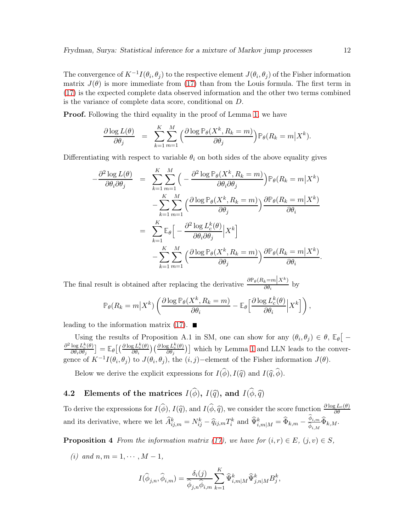The convergence of  $K^{-1}I(\theta_i, \theta_j)$  to the respective element  $J(\theta_i, \theta_j)$  of the Fisher information matrix  $J(\theta)$  is more immediate from [\(17\)](#page-10-2) than from the Louis formula. The first term in [\(17\)](#page-10-2) is the expected complete data observed information and the other two terms combined is the variance of complete data score, conditional on D.

**Proof.** Following the third equality in the proof of Lemma [1,](#page-5-1) we have

$$
\frac{\partial \log L(\theta)}{\partial \theta_j} = \sum_{k=1}^K \sum_{m=1}^M \left( \frac{\partial \log \mathbb{P}_{\theta}(X^k, R_k = m)}{\partial \theta_j} \right) \mathbb{P}_{\theta}(R_k = m | X^k).
$$

Differentiating with respect to variable  $\theta_i$  on both sides of the above equality gives

$$
-\frac{\partial^2 \log L(\theta)}{\partial \theta_i \partial \theta_j} = \sum_{k=1}^K \sum_{m=1}^M \left( -\frac{\partial^2 \log \mathbb{P}_{\theta}(X^k, R_k = m)}{\partial \theta_i \partial \theta_j} \right) \mathbb{P}_{\theta}(R_k = m | X^k)
$$

$$
- \sum_{k=1}^K \sum_{m=1}^M \left( \frac{\partial \log \mathbb{P}_{\theta}(X^k, R_k = m)}{\partial \theta_j} \right) \frac{\partial \mathbb{P}_{\theta}(R_k = m | X^k)}{\partial \theta_i}
$$

$$
= \sum_{k=1}^K \mathbb{E}_{\theta} \left[ -\frac{\partial^2 \log L_c^k(\theta)}{\partial \theta_i \partial \theta_j} | X^k \right]
$$

$$
- \sum_{k=1}^K \sum_{m=1}^M \left( \frac{\partial \log \mathbb{P}_{\theta}(X^k, R_k = m)}{\partial \theta_j} \right) \frac{\partial \mathbb{P}_{\theta}(R_k = m | X^k)}{\partial \theta_i}.
$$

The final result is obtained after replacing the derivative  $\frac{\partial \mathbb{P}_{\theta}(R_k=m|X^k)}{\partial \theta_i}$  by

$$
\mathbb{P}_{\theta}(R_k = m | X^k) \left( \frac{\partial \log \mathbb{P}_{\theta}(X^k, R_k = m)}{\partial \theta_i} - \mathbb{E}_{\theta} \left[ \frac{\partial \log L_c^k(\theta)}{\partial \theta_i} | X^k \right] \right),
$$

leading to the information matrix  $(17)$ .

Using the results of Proposition A.1 in SM, one can show for any  $(\theta_i, \theta_j) \in \theta$ ,  $\mathbb{E}_{\theta}$   $\left[ -\frac{1}{\sqrt{2\pi}} \right]$  $\partial^2 \log L_c^k(\theta)$  $\frac{\log L_c^k(\theta)}{\partial \theta_i \partial \theta_j}$   $= \mathbb{E}_{\theta}\big[\big(\frac{\partial \log L_c^k(\theta)}{\partial \theta_i}$  $\frac{\partial g}{\partial \theta_i}^{L_{\mathcal{C}}^k(\theta)}\big)\big(\frac{\partial \log L_{\mathcal{C}}^k(\theta)}{\partial \theta_j}$  $\left(\frac{g L_c^k(\theta)}{\partial \theta_j}\right)$  which by Lemma [1](#page-5-1) and LLN leads to the convergence of  $K^{-1}I(\theta_i, \theta_j)$  to  $J(\theta_i, \theta_j)$ , the  $(i, j)$ -element of the Fisher information  $J(\theta)$ .

Below we derive the explicit expressions for  $I(\widehat{\phi}), I(\widehat{q})$  and  $I(\widehat{q}, \widehat{\phi})$ .

## 4.2 Elements of the matrices  $I(\widehat{\phi})$ ,  $I(\widehat{q})$ , and  $I(\widehat{\phi}, \widehat{q})$

To derive the expressions for  $I(\hat{\phi}), I(\hat{q}),$  and  $I(\hat{\phi}, \hat{q}),$  we consider the score function  $\frac{\partial \log L_c(\theta)}{\partial \theta}$ and its derivative, where we let  $\widehat{A}_{ij,m}^k = N_{ij}^k - \widehat{q}_{ij,m}T_i^k$  and  $\widehat{\Psi}_{i,m|M}^k = \widehat{\Phi}_{k,m}$  $\frac{\widehat{\phi}_{i,m}}{\widehat{\phi}_{i,M}}\widehat{\Phi}_{k,M}.$ 

<span id="page-11-0"></span>**Proposition 4** From the information matrix [\(17\)](#page-10-2), we have for  $(i, r) \in E$ ,  $(j, v) \in S$ ,

(i) and  $n, m = 1, \cdots, M - 1$ ,

$$
I(\widehat{\phi}_{j,n}, \widehat{\phi}_{i,m}) = \frac{\delta_i(j)}{\widehat{\phi}_{j,n} \widehat{\phi}_{i,m}} \sum_{k=1}^K \widehat{\Psi}_{i,m|M}^k \widehat{\Psi}_{j,n|M}^k B_j^k,
$$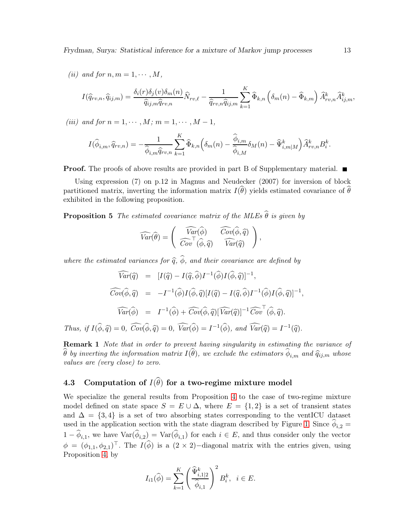Frydman, Surya: Statistical inference for a mixture of Markov jump processes 13

(ii) and for  $n, m = 1, \cdots, M$ ,

$$
I(\widehat{q}_{rv,n},\widehat{q}_{ij,m}) = \frac{\delta_i(r)\delta_j(v)\delta_m(n)}{\widehat{q}_{ij,m}\widehat{q}_{rv,n}}\widehat{N}_{rv,\ell} - \frac{1}{\widehat{q}_{rv,n}\widehat{q}_{ij,m}}\sum_{k=1}^K \widehat{\Phi}_{k,n}\left(\delta_m(n) - \widehat{\Phi}_{k,m}\right)\widehat{A}_{rv,n}^k \widehat{A}_{ij,m}^k,
$$

(iii) and for  $n = 1, \dots, M$ ;  $m = 1, \dots, M - 1$ ,

$$
I(\widehat{\phi}_{i,m},\widehat{q}_{rv,n}) = -\frac{1}{\widehat{\phi}_{i,m}\widehat{q}_{rv,n}}\sum_{k=1}^K \widehat{\Phi}_{k,n} \left(\delta_m(n) - \frac{\widehat{\phi}_{i,m}}{\widehat{\phi}_{i,M}}\delta_M(n) - \widehat{\Psi}_{i,m|M}^k\right) \widehat{A}_{rv,n}^k B_i^k.
$$

**Proof.** The proofs of above results are provided in part B of Supplementary material.  $\blacksquare$ 

Using expression  $(7)$  on p.12 in Magnus and Neudecker  $(2007)$  for inversion of block partitioned matrix, inverting the information matrix  $I(\hat{\theta})$  yields estimated covariance of  $\hat{\theta}$ exhibited in the following proposition.

**Proposition 5** The estimated covariance matrix of the MLEs  $\widehat{\theta}$  is given by

$$
\widehat{Var}(\widehat{\theta}) = \begin{pmatrix} \widehat{Var}(\widehat{\phi}) & \widehat{Cov}(\widehat{\phi}, \widehat{q}) \\ \widehat{Cov}^{\top}(\widehat{\phi}, \widehat{q}) & \widehat{Var}(\widehat{q}) \end{pmatrix},
$$

where the estimated variances for  $\widehat{q}$ ,  $\widehat{\phi}$ , and their covariance are defined by

$$
\widehat{Var}(\widehat{q}) = [I(\widehat{q}) - I(\widehat{q}, \widehat{\phi})I^{-1}(\widehat{\phi})I(\widehat{\phi}, \widehat{q})]^{-1},
$$
  

$$
\widehat{Cov}(\widehat{\phi}, \widehat{q}) = -I^{-1}(\widehat{\phi})I(\widehat{\phi}, \widehat{q})[I(\widehat{q}) - I(\widehat{q}, \widehat{\phi})I^{-1}(\widehat{\phi})I(\widehat{\phi}, \widehat{q})]^{-1},
$$
  

$$
\widehat{Var}(\widehat{\phi}) = I^{-1}(\widehat{\phi}) + \widehat{Cov}(\widehat{\phi}, \widehat{q})[\widehat{Var}(\widehat{q})]^{-1}\widehat{Cov}^{\top}(\widehat{\phi}, \widehat{q}).
$$
  
Thus, if  $I(\widehat{\phi}, \widehat{q}) = 0$ ,  $\widehat{Cov}(\widehat{\phi}, \widehat{q}) = 0$ ,  $\widehat{Var}(\widehat{\phi}) = I^{-1}(\widehat{\phi})$ , and  $\widehat{Var}(\widehat{q}) = I^{-1}(\widehat{q})$ .

**Remark 1** Note that in order to prevent having singularity in estimating the variance of  $\theta$  by inverting the information matrix  $I(\theta)$ , we exclude the estimators  $\phi_{i,m}$  and  $\widehat{q}_{ij,m}$  whose values are (very close) to zero.

## 4.3 Computation of  $I(\widehat{\theta})$  for a two-regime mixture model

We specialize the general results from Proposition [4](#page-11-0) to the case of two-regime mixture model defined on state space  $S = E \cup \Delta$ , where  $E = \{1, 2\}$  is a set of transient states and  $\Delta = \{3, 4\}$  is a set of two absorbing states corresponding to the ventICU dataset used in the application section with the state diagram described by Figure [1.](#page-17-0) Since  $\phi_{i,2} =$  $1 - \phi_{i,1}$ , we have  $\text{Var}(\phi_{i,2}) = \text{Var}(\phi_{i,1})$  for each  $i \in E$ , and thus consider only the vector  $\phi = (\phi_{1,1}, \phi_{2,1})^{\top}$ . The  $I(\hat{\phi})$  is a  $(2 \times 2)$ -diagonal matrix with the entries given, using Proposition [4,](#page-11-0) by

$$
I_{i1}(\widehat{\phi}) = \sum_{k=1}^K \left( \frac{\widehat{\Psi}_{i,1|2}^k}{\widehat{\phi}_{i,1}} \right)^2 B_i^k, \ i \in E.
$$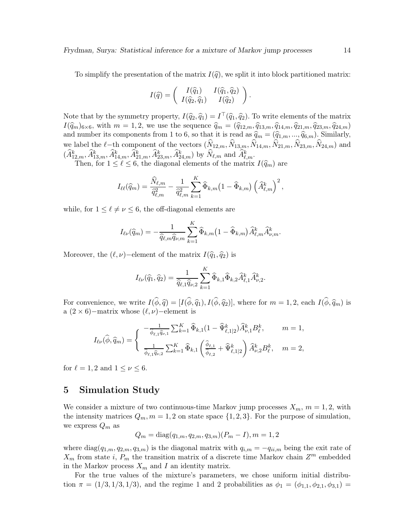To simplify the presentation of the matrix  $I(\hat{q})$ , we split it into block partitioned matrix:

$$
I(\widehat{q}) = \begin{pmatrix} I(\widehat{q}_1) & I(\widehat{q}_1, \widehat{q}_2) \\ I(\widehat{q}_2, \widehat{q}_1) & I(\widehat{q}_2) \end{pmatrix}.
$$

Note that by the symmetry property,  $I(\hat{q}_2, \hat{q}_1) = I^{\top}(\hat{q}_1, \hat{q}_2)$ . To write elements of the matrix  $I(\hat{q}_m)_{6\times 6}$ , with  $m = 1, 2$ , we use the sequence  $\hat{q}_m = (\hat{q}_{12,m}, \hat{q}_{13,m}, \hat{q}_{14,m}, \hat{q}_{21,m}, \hat{q}_{23,m}, \hat{q}_{24,m})$ and number its components from 1 to 6, so that it is read as  $\hat{q}_m = (\hat{q}_{1,m}, ..., \hat{q}_{6,m})$ . Similarly, we label the  $\ell$ −th component of the vectors  $(\widehat{N}_{12,m}, \widehat{N}_{13,m}, \widehat{N}_{14,m}, \widehat{N}_{21,m}, \widehat{N}_{23,m}, \widehat{N}_{24,m})$  and  $(\widehat{A}_{12,m}^k, \widehat{A}_{13,m}^k, \widehat{A}_{14,m}^k, \widehat{A}_{21,m}^k, \widehat{A}_{23,m}^k, \widehat{A}_{24,m}^k)$  by  $\widehat{N}_{\ell,m}$  and  $\widehat{A}_{\ell,m}^k$ .

Then, for  $1 \leq \ell \leq 6$ , the diagonal elements of the matrix  $I(\hat{q}_m)$  are

$$
I_{\ell\ell}(\widehat{q}_m) = \frac{\widehat{N}_{\ell,m}}{\widehat{q}_{\ell,m}^2} - \frac{1}{\widehat{q}_{\ell,m}^2} \sum_{k=1}^K \widehat{\Phi}_{k,m} (1 - \widehat{\Phi}_{k,m}) (\widehat{A}_{\ell,m}^k)^2,
$$

while, for  $1 \leq \ell \neq \nu \leq 6$ , the off-diagonal elements are

$$
I_{\ell\nu}(\widehat{q}_m) = -\frac{1}{\widehat{q}_{\ell,m}\widehat{q}_{\nu,m}} \sum_{k=1}^K \widehat{\Phi}_{k,m} (1 - \widehat{\Phi}_{k,m}) \widehat{A}_{\ell,m}^k \widehat{A}_{\nu,m}^k.
$$

Moreover, the  $(\ell, \nu)$ –element of the matrix  $I(\hat{q}_1, \hat{q}_2)$  is

$$
I_{\ell\nu}(\widehat{q}_1,\widehat{q}_2)=\frac{1}{\widehat{q}_{\ell,1}\widehat{q}_{\nu,2}}\sum_{k=1}^K\widehat{\Phi}_{k,1}\widehat{\Phi}_{k,2}\widehat{A}_{\ell,1}^k\widehat{A}_{\nu,2}^k.
$$

For convenience, we write  $I(\hat{\phi}, \hat{q}) = [I(\hat{\phi}, \hat{q}_1), I(\hat{\phi}, \hat{q}_2)]$ , where for  $m = 1, 2$ , each  $I(\hat{\phi}, \hat{q}_m)$  is a  $(2 \times 6)$ −matrix whose  $(\ell, \nu)$ −element is

$$
I_{\ell\nu}(\widehat{\phi}, \widehat{q}_m) = \begin{cases} \n-\frac{1}{\widehat{\phi}_{\ell,1}\widehat{q}_{\nu,1}} \sum_{k=1}^K \widehat{\Phi}_{k,1}(1 - \widehat{\Psi}_{\ell,1|2}^k) \widehat{A}_{\nu,1}^k B_{\ell}^k, & m = 1, \\
\frac{1}{\widehat{\phi}_{\ell,1}\widehat{q}_{\nu,2}} \sum_{k=1}^K \widehat{\Phi}_{k,1} \left( \frac{\widehat{\phi}_{\ell,1}}{\widehat{\phi}_{\ell,2}} + \widehat{\Psi}_{\ell,1|2}^k \right) \widehat{A}_{\nu,2}^k B_{\ell}^k, & m = 2,\n\end{cases}
$$

for  $\ell = 1, 2$  and  $1 \leq \nu \leq 6$ .

## 5 Simulation Study

We consider a mixture of two continuous-time Markov jump processes  $X_m$ ,  $m = 1, 2$ , with the intensity matrices  $Q_m$ ,  $m = 1, 2$  on state space  $\{1, 2, 3\}$ . For the purpose of simulation, we express  $Q_m$  as

$$
Q_m = \text{diag}(q_{1,m}, q_{2,m}, q_{3,m})(P_m - I), m = 1, 2
$$

where  $diag(q_{1,m}, q_{2,m}, q_{3,m})$  is the diagonal matrix with  $q_{i,m} = -q_{ii,m}$  being the exit rate of  $X_m$  from state *i*,  $P_m$  the transition matrix of a discrete time Markov chain  $Z^m$  embedded in the Markov process  $X_m$  and I an identity matrix.

For the true values of the mixture's parameters, we chose uniform initial distribution  $\pi = (1/3, 1/3, 1/3)$ , and the regime 1 and 2 probabilities as  $\phi_1 = (\phi_{1,1}, \phi_{2,1}, \phi_{3,1}) =$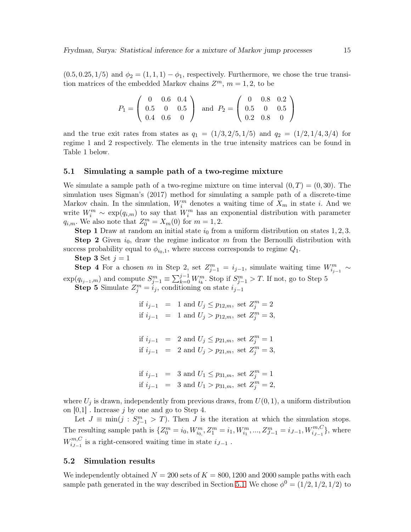$(0.5, 0.25, 1/5)$  and  $\phi_2 = (1, 1, 1) - \phi_1$ , respectively. Furthermore, we chose the true transition matrices of the embedded Markov chains  $Z^m$ ,  $m = 1, 2$ , to be

$$
P_1 = \left(\begin{array}{ccc} 0 & 0.6 & 0.4 \\ 0.5 & 0 & 0.5 \\ 0.4 & 0.6 & 0 \end{array}\right) \text{ and } P_2 = \left(\begin{array}{ccc} 0 & 0.8 & 0.2 \\ 0.5 & 0 & 0.5 \\ 0.2 & 0.8 & 0 \end{array}\right)
$$

and the true exit rates from states as  $q_1 = (1/3, 2/5, 1/5)$  and  $q_2 = (1/2, 1/4, 3/4)$  for regime 1 and 2 respectively. The elements in the true intensity matrices can be found in Table 1 below.

#### <span id="page-14-0"></span>5.1 Simulating a sample path of a two-regime mixture

We simulate a sample path of a two-regime mixture on time interval  $(0, T) = (0, 30)$ . The simulation uses Sigman's (2017) method for simulating a sample path of a discrete-time Markov chain. In the simulation,  $W_i^m$  denotes a waiting time of  $X_m$  in state i. And we write  $W_i^m \sim \exp(q_{i,m})$  to say that  $W_i^m$  has an exponential distribution with parameter  $q_{i,m}$ . We also note that  $Z_0^m = X_m(0)$  for  $m = 1, 2$ .

**Step 1** Draw at random an initial state  $i_0$  from a uniform distribution on states 1, 2, 3. **Step 2** Given  $i_0$ , draw the regime indicator m from the Bernoulli distribution with success probability equal to  $\phi_{i_0,1}$ , where success corresponds to regime  $Q_1$ .

Step 3 Set  $j = 1$ 

**Step 4** For a chosen m in Step 2, set  $Z_{j-1}^m = i_{j-1}$ , simulate waiting time  $W_{i_{j-1}}^m \sim$  $\exp(q_{i_{j-1},m})$  and compute  $S_{j-1}^m \equiv \sum_{k=0}^{j-1} W_{i_k}^m$ . Stop if  $S_{j-1}^m > T$ . If not, go to Step 5 **Step 5** Simulate  $Z_j^m = i_j$ , conditioning on state  $i_{j-1}$ 

> if  $i_{j-1}$  = 1 and  $U_j \leq p_{12,m}$ , set  $Z_j^m = 2$ if  $i_{j-1}$  = 1 and  $U_j > p_{12,m}$ , set  $Z_j^m = 3$ , if  $i_{j-1}$  = 2 and  $U_j \le p_{21,m}$ , set  $Z_j^m = 1$ if  $i_{j-1}$  = 2 and  $U_j > p_{21,m}$ , set  $Z_j^m = 3$ , if  $i_{j-1}$  = 3 and  $U_1 \leq p_{31,m}$ , set  $Z_j^m = 1$ if  $i_{j-1}$  = 3 and  $U_1 > p_{31,m}$ , set  $Z_j^m = 2$ ,

where  $U_j$  is drawn, independently from previous draws, from  $U(0, 1)$ , a uniform distribution on  $[0,1]$ . Increase j by one and go to Step 4.

Let  $J \equiv \min(j : S^m_{j-1} > T)$ . Then J is the iteration at which the simulation stops. The resulting sample path is  $\{Z_0^m = i_0, W_{i_0,}^m, Z_1^m = i_1, W_{i_1}^m, ..., Z_{J-1}^m = i_{J-1}, W_{i_{J-1}}^{m,C}\}$ , where  $W^{m,C}_{i,j}$  $i_{j-1}^{m,\text{C}}$  is a right-censored waiting time in state  $i_{J-1}$ .

#### 5.2 Simulation results

We independently obtained  $N = 200$  sets of  $K = 800, 1200$  and 2000 sample paths with each sample path generated in the way described in Section [5.1.](#page-14-0) We chose  $\phi^0 = (1/2, 1/2, 1/2)$  to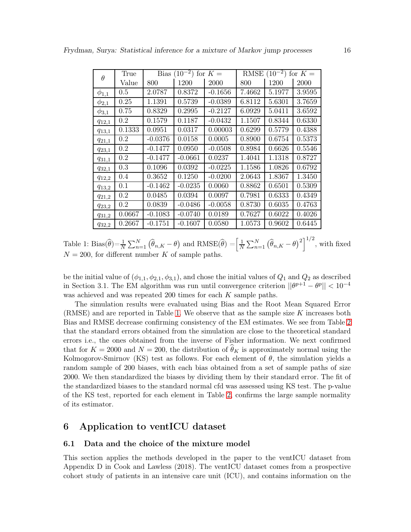| $\theta$     | True    | $(10^{-2})$<br>for $K =$<br>Bias |           |           | $(10^{-2})$<br>RMSE<br>for $K =$ |        |        |
|--------------|---------|----------------------------------|-----------|-----------|----------------------------------|--------|--------|
|              | Value   | 800                              | 1200      | 2000      | 800                              | 1200   | 2000   |
| $\phi_{1,1}$ | 0.5     | 2.0787                           | 0.8372    | $-0.1656$ | 7.4662                           | 5.1977 | 3.9595 |
| $\phi_{2,1}$ | 0.25    | 1.1391                           | 0.5739    | $-0.0389$ | 6.8112                           | 5.6301 | 3.7659 |
| $\phi_{3,1}$ | 0.75    | 0.8329                           | 0.2995    | $-0.2127$ | 6.0929                           | 5.0411 | 3.6592 |
| $q_{12,1}$   | 0.2     | 0.1579                           | 0.1187    | $-0.0432$ | 1.1507                           | 0.8344 | 0.6330 |
| $q_{13,1}$   | 0.1333  | 0.0951                           | 0.0317    | 0.00003   | 0.6299                           | 0.5779 | 0.4388 |
| $q_{21,1}$   | 0.2     | $-0.0376$                        | 0.0158    | 0.0005    | 0.8900                           | 0.6754 | 0.5373 |
| $q_{23,1}$   | 0.2     | $-0.1477$                        | 0.0950    | $-0.0508$ | 0.8984                           | 0.6626 | 0.5546 |
| $q_{31,1}$   | $0.2\,$ | $-0.1477$                        | $-0.0661$ | 0.0237    | 1.4041                           | 1.1318 | 0.8727 |
| $q_{32,1}$   | 0.3     | 0.1096                           | 0.0392    | $-0.0225$ | 1.1586                           | 1.0826 | 0.6792 |
| $q_{12,2}$   | 0.4     | 0.3652                           | 0.1250    | $-0.0200$ | 2.0643                           | 1.8367 | 1.3450 |
| $q_{13,2}$   | 0.1     | $-0.1462$                        | $-0.0235$ | 0.0060    | 0.8862                           | 0.6501 | 0.5309 |
| $q_{21,2}$   | 0.2     | 0.0485                           | 0.0394    | 0.0097    | 0.7981                           | 0.6333 | 0.4349 |
| $q_{23,2}$   | 0.2     | 0.0839                           | $-0.0486$ | $-0.0058$ | 0.8730                           | 0.6035 | 0.4763 |
| $q_{31,2}$   | 0.0667  | $-0.1083$                        | $-0.0740$ | 0.0189    | 0.7627                           | 0.6022 | 0.4026 |
| $q_{32,2}$   | 0.2667  | $-0.1751$                        | $-0.1607$ | 0.0580    | 1.0573                           | 0.9602 | 0.6445 |

<span id="page-15-1"></span>Table 1: Bias $(\widehat{\theta}) = \frac{1}{N} \sum_{n=1}^{N} (\widehat{\theta}_{n,K} - \theta)$  and  $RMSE(\widehat{\theta}) = \frac{1}{N}$  $\frac{1}{N} \sum_{n=1}^{N} (\widehat{\theta}_{n,K} - \theta)^2 \Big]^{1/2}$ , with fixed  $N = 200$ , for different number K of sample paths.

be the initial value of  $(\phi_{1,1}, \phi_{2,1}, \phi_{3,1})$ , and chose the initial values of  $Q_1$  and  $Q_2$  as described in Section 3.1. The EM algorithm was run until convergence criterion  $||\theta^{p+1} - \theta^p|| < 10^{-4}$ was achieved and was repeated 200 times for each K sample paths.

The simulation results were evaluated using Bias and the Root Mean Squared Error (RMSE) and are reported in Table [1.](#page-15-1) We observe that as the sample size  $K$  increases both Bias and RMSE decrease confirming consistency of the EM estimates. We see from Table [2](#page-16-0) that the standard errors obtained from the simulation are close to the theoretical standard errors i.e., the ones obtained from the inverse of Fisher information. We next confirmed that for  $K = 2000$  and  $N = 200$ , the distribution of  $\hat{\theta}_K$  is approximately normal using the Kolmogorov-Smirnov (KS) test as follows. For each element of  $\theta$ , the simulation yields a random sample of 200 biases, with each bias obtained from a set of sample paths of size 2000. We then standardized the biases by dividing them by their standard error. The fit of the standardized biases to the standard normal cfd was assessed using KS test. The p-value of the KS test, reported for each element in Table [2,](#page-16-0) confirms the large sample normality of its estimator.

## <span id="page-15-0"></span>6 Application to ventICU dataset

#### 6.1 Data and the choice of the mixture model

This section applies the methods developed in the paper to the ventICU dataset from Appendix D in Cook and Lawless (2018). The ventICU dataset comes from a prospective cohort study of patients in an intensive care unit (ICU), and contains information on the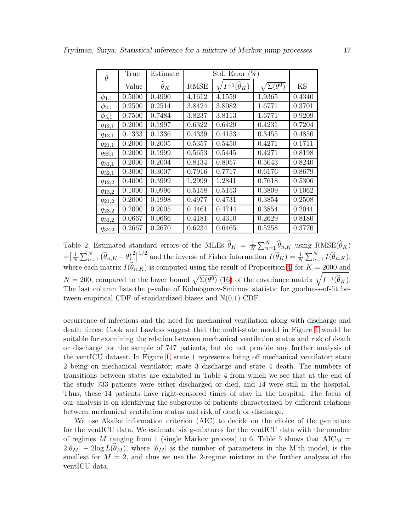| $\theta$     | True   | Estimate             |        | Std. Error $(\%)$            |                             |        |
|--------------|--------|----------------------|--------|------------------------------|-----------------------------|--------|
|              | Value  | $\widehat{\theta}_K$ | RMSE   | $I^{-1}(\widehat{\theta}_K)$ | $\sum(\overline{\theta^0})$ | KS     |
| $\phi_{1,1}$ | 0.5000 | 0.4990               | 4.1612 | 4.1559                       | 1.9365                      | 0.4340 |
| $\phi_{2,1}$ | 0.2500 | 0.2514               | 3.8424 | 3.8082                       | 1.6771                      | 0.3701 |
| $\phi_{3,1}$ | 0.7500 | 0.7484               | 3.8237 | 3.8113                       | 1.6771                      | 0.9209 |
| $q_{12,1}$   | 0.2000 | 0.1997               | 0.6322 | 0.6429                       | 0.4231                      | 0.7204 |
| $q_{13,1}$   | 0.1333 | 0.1336               | 0.4339 | 0.4153                       | 0.3455                      | 0.4850 |
| $q_{21,1}$   | 0.2000 | 0.2005               | 0.5357 | 0.5450                       | 0.4271                      | 0.1711 |
| $q_{23,1}$   | 0.2000 | 0.1999               | 0.5653 | 0.5445                       | 0.4271                      | 0.8198 |
| $q_{31,1}$   | 0.2000 | 0.2004               | 0.8134 | 0.8057                       | 0.5043                      | 0.8240 |
| $q_{32,1}$   | 0.3000 | 0.3007               | 0.7916 | 0.7717                       | 0.6176                      | 0.8679 |
| $q_{12,2}$   | 0.4000 | 0.3999               | 1.2999 | 1.2841                       | 0.7618                      | 0.5306 |
| $q_{13,2}$   | 0.1000 | 0.0996               | 0.5158 | 0.5153                       | 0.3809                      | 0.1062 |
| $q_{21,2}$   | 0.2000 | 0.1998               | 0.4977 | 0.4731                       | 0.3854                      | 0.2508 |
| $q_{23,2}$   | 0.2000 | 0.2005               | 0.4461 | 0.4744                       | 0.3854                      | 0.2041 |
| $q_{31,2}$   | 0.0667 | 0.0666               | 0.4181 | 0.4310                       | 0.2629                      | 0.8180 |
| $q_{32,2}$   | 0.2667 | 0.2670               | 0.6234 | 0.6465                       | 0.5258                      | 0.3770 |

<span id="page-16-0"></span>Table 2: Estimated standard errors of the MLEs  $\hat{\theta}_K = \frac{1}{N}$  $\frac{1}{N} \sum_{n=1}^{N} \widehat{\theta}_{n,K}$  using  $RMSE(\widehat{\theta}_{K})$  $=$  $\lceil \frac{1}{N}$  $\frac{1}{N}\sum_{n=1}^{N}(\widehat{\theta}_{n,K}-\theta)^{2}]^{1/2}$  and the inverse of Fisher information  $I(\widehat{\theta}_{K})=\frac{1}{N}\sum_{n=1}^{N}I(\widehat{\theta}_{n,K}),$ where each matrix  $I(\theta_{n,K})$  is computed using the result of Proposition [4,](#page-11-0) for  $K = 2000$  and  $N = 200$ , compared to the lower bound  $\sqrt{\Sigma(\theta^0)}$  [\(16\)](#page-9-2) of the covariance matrix  $\sqrt{I^{-1}(\hat{\theta}_K)}$ . The last column lists the p-value of Kolmogorov-Smirnov statistic for goodness-of-fit between empirical CDF of standardized biases and  $N(0,1)$  CDF.

occurrence of infections and the need for mechanical ventilation along with discharge and death times. Cook and Lawless suggest that the multi-state model in Figure [1](#page-17-0) would be suitable for examining the relation between mechanical ventilation status and risk of death or discharge for the sample of 747 patients, but do not provide any further analysis of the ventICU dataset. In Figure [1,](#page-17-0) state 1 represents being off mechanical ventilator; state 2 being on mechanical ventilator; state 3 discharge and state 4 death. The numbers of transitions between states are exhibited in Table 4 from which we see that at the end of the study 733 patients were either discharged or died, and 14 were still in the hospital. Thus, these 14 patients have right-censored times of stay in the hospital. The focus of our analysis is on identifying the subgroups of patients characterized by different relations between mechanical ventilation status and risk of death or discharge.

We use Akaike information criterion (AIC) to decide on the choice of the g-mixture for the ventICU data. We estimate six g-mixtures for the ventICU data with the number of regimes M ranging from 1 (single Markov process) to 6. Table 5 shows that  $AIC_M =$  $2|\theta_M| - 2\log L(\widehat{\theta}_M)$ , where  $|\theta_M|$  is the number of parameters in the M'th model, is the smallest for  $M = 2$ , and thus we use the 2-regime mixture in the further analysis of the ventICU data.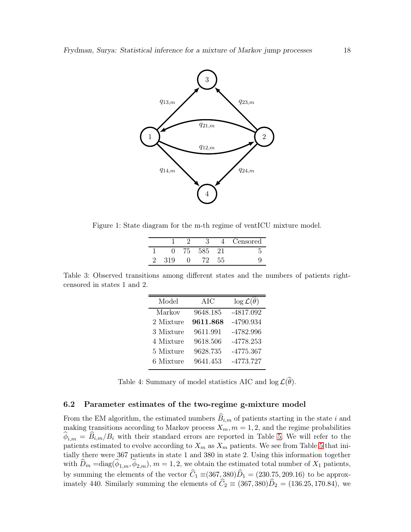

Figure 1: State diagram for the m-th regime of ventICU mixture model.

<span id="page-17-0"></span>

|     |    |     | $\overline{4}$ | Censored |
|-----|----|-----|----------------|----------|
|     | 75 | 585 | 21             |          |
| 319 |    |     | 55             |          |

Table 3: Observed transitions among different states and the numbers of patients rightcensored in states 1 and 2.

| Model     | AIC      | $\log \mathcal{L}(\hat{\theta})$ |
|-----------|----------|----------------------------------|
| Markov    | 9648.185 | $-4817.092$                      |
| 2 Mixture | 9611.868 | -4790.934                        |
| 3 Mixture | 9611.991 | -4782.996                        |
| 4 Mixture | 9618.506 | $-4778.253$                      |
| 5 Mixture | 9628.735 | $-4775.367$                      |
| 6 Mixture | 9641.453 | $-4773.727$                      |

<span id="page-17-1"></span>Table 4: Summary of model statistics AIC and  $\log \mathcal{L}(\widehat{\theta})$ .

#### 6.2 Parameter estimates of the two-regime g-mixture model

From the EM algorithm, the estimated numbers  $\widehat{B}_{i,m}$  of patients starting in the state i and making transitions according to Markov process  $X_m$ ,  $m = 1, 2$ , and the regime probabilities  $\phi_{i,m} = B_{i,m}/B_i$  with their standard errors are reported in Table [5.](#page-18-0) We will refer to the patients estimated to evolve according to  $X_m$  as  $X_m$  patients. We see from Table [5](#page-18-0) that initially there were 367 patients in state 1 and 380 in state 2. Using this information together with  $D_m = \text{diag}(\phi_{1,m}, \phi_{2,m})$ ,  $m = 1, 2$ , we obtain the estimated total number of  $X_1$  patients, by summing the elements of the vector  $C_1 \equiv (367, 380)D_1 = (230, 75, 209.16)$  to be approximately 440. Similarly summing the elements of  $C_2 \equiv (367, 380)D_2 = (136.25, 170.84)$ , we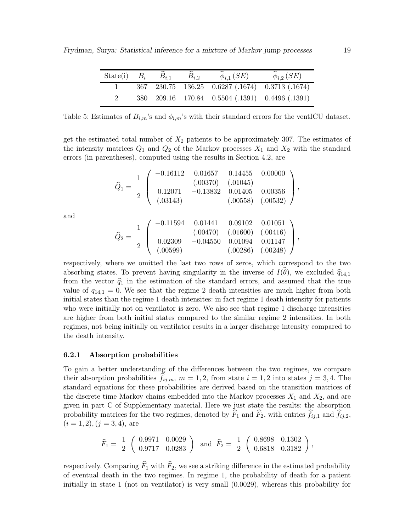| State(i) $B_i$ | $B_{i,1}$ | $B_i$ 2 | $\phi_{i,1}$ ( <i>SE</i> )                      | $\phi_{i,2}$ (SE) |
|----------------|-----------|---------|-------------------------------------------------|-------------------|
|                |           |         | 367 230.75 136.25 0.6287 (.1674) 0.3713 (.1674) |                   |
|                |           |         | 380 209.16 170.84 0.5504 (.1391) 0.4496 (.1391) |                   |

<span id="page-18-0"></span>Table 5: Estimates of  $B_{i,m}$ 's and  $\phi_{i,m}$ 's with their standard errors for the ventICU dataset.

get the estimated total number of  $X_2$  patients to be approximately 307. The estimates of the intensity matrices  $Q_1$  and  $Q_2$  of the Markov processes  $X_1$  and  $X_2$  with the standard errors (in parentheses), computed using the results in Section 4.2, are

$$
\widehat{Q}_1 = \begin{bmatrix} 1 \\ 2 \end{bmatrix} \begin{pmatrix} -0.16112 & 0.01657 & 0.14455 & 0.00000 \\ (0.0370) & (0.01045) \\ 0.12071 & -0.13832 & 0.01405 & 0.00356 \\ (0.03143) & (0.0558) & (0.0532) \end{pmatrix},
$$

and

$$
\widehat{Q}_2=\left(\begin{array}{cccc} -0.11594 & 0.01441 & 0.09102 & 0.01051 \\ (.00470) & (.01600) & (.00416) \\ 0.02309 & -0.04550 & 0.01094 & 0.01147 \\ (.00599) & (.00286) & (.00248) \end{array}\right),
$$

respectively, where we omitted the last two rows of zeros, which correspond to the two absorbing states. To prevent having singularity in the inverse of  $I(\theta)$ , we excluded  $\hat{q}_{14,1}$ from the vector  $\hat{q}_1$  in the estimation of the standard errors, and assumed that the true value of  $q_{14,1} = 0$ . We see that the regime 2 death intensities are much higher from both initial states than the regime 1 death intensites: in fact regime 1 death intensity for patients who were initially not on ventilator is zero. We also see that regime 1 discharge intensities are higher from both initial states compared to the similar regime 2 intensities. In both regimes, not being initially on ventilator results in a larger discharge intensity compared to the death intensity.

#### 6.2.1 Absorption probabilities

To gain a better understanding of the differences between the two regimes, we compare their absorption probabilities  $f_{ij,m}$ ,  $m = 1, 2$ , from state  $i = 1, 2$  into states  $j = 3, 4$ . The standard equations for these probabilities are derived based on the transition matrices of the discrete time Markov chains embedded into the Markov processes  $X_1$  and  $X_2$ , and are given in part C of Supplementary material. Here we just state the results: the absorption probability matrices for the two regimes, denoted by  $F_1$  and  $F_2$ , with entries  $f_{ij,1}$  and  $f_{ij,2}$ ,  $(i = 1, 2), (j = 3, 4),$  are

$$
\widehat{F}_1 = \begin{array}{c} 1 \\ 2 \end{array} \left( \begin{array}{ccc} 0.9971 & 0.0029 \\ 0.9717 & 0.0283 \end{array} \right) \text{ and } \widehat{F}_2 = \begin{array}{c} 1 \\ 2 \end{array} \left( \begin{array}{ccc} 0.8698 & 0.1302 \\ 0.6818 & 0.3182 \end{array} \right),
$$

respectively. Comparing  $\widehat{F}_1$  with  $\widehat{F}_2$ , we see a striking difference in the estimated probability of eventual death in the two regimes. In regime 1, the probability of death for a patient initially in state 1 (not on ventilator) is very small (0.0029), whereas this probability for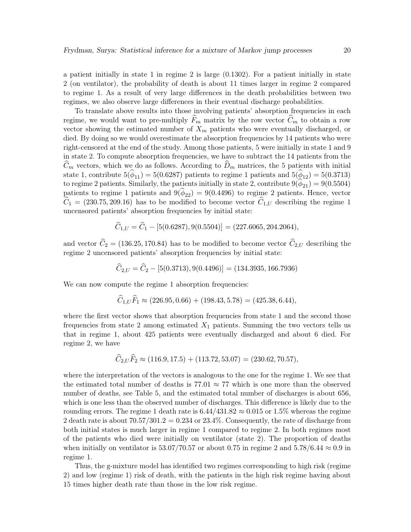a patient initially in state 1 in regime 2 is large (0.1302). For a patient initially in state 2 (on ventilator), the probability of death is about 11 times larger in regime 2 compared to regime 1. As a result of very large differences in the death probabilities between two regimes, we also observe large differences in their eventual discharge probabilities.

To translate above results into those involving patients' absorption frequencies in each regime, we would want to pre-multiply  $\widehat{F}_m$  matrix by the row vector  $\widehat{C}_m$  to obtain a row vector showing the estimated number of  $X_m$  patients who were eventually discharged, or died. By doing so we would overestimate the absorption frequencies by 14 patients who were right-censored at the end of the study. Among those patients, 5 were initially in state 1 and 9 in state 2. To compute absorption frequencies, we have to subtract the 14 patients from the  $C_m$  vectors, which we do as follows. According to  $D_m$  matrices, the 5 patients with initial state 1, contribute  $5(\phi_{11}) = 5(0.6287)$  patients to regime 1 patients and  $5(\phi_{12}) = 5(0.3713)$ to regime 2 patients. Similarly, the patients initially in state 2, contribute  $9(\phi_{21}) = 9(0.5504)$ patients to regime 1 patients and  $9(\phi_{22}) = 9(0.4496)$  to regime 2 patients. Hence, vector  $\hat{C}_1 = (230.75, 209.16)$  has to be modified to become vector  $\hat{C}_{1,U}$  describing the regime 1 uncensored patients' absorption frequencies by initial state:

$$
\widehat{C}_{1,U} = \widehat{C}_1 - [5(0.6287), 9(0.5504)] = (227.6065, 204.2064),
$$

and vector  $\hat{C}_2 = (136.25, 170.84)$  has to be modified to become vector  $\hat{C}_{2,U}$  describing the regime 2 uncensored patients' absorption frequencies by initial state:

$$
\hat{C}_{2,U} = \hat{C}_2 - [5(0.3713), 9(0.4496)] = (134.3935, 166.7936)
$$

We can now compute the regime 1 absorption frequencies:

$$
\widehat{C}_{1,U}\widehat{F}_1 \approx (226.95, 0.66) + (198.43, 5.78) = (425.38, 6.44),
$$

where the first vector shows that absorption frequencies from state 1 and the second those frequencies from state 2 among estimated  $X_1$  patients. Summing the two vectors tells us that in regime 1, about 425 patients were eventually discharged and about 6 died. For regime 2, we have

$$
\widehat{C}_{2,U}\widehat{F}_2 \approx (116.9, 17.5) + (113.72, 53.07) = (230.62, 70.57),
$$

where the interpretation of the vectors is analogous to the one for the regime 1. We see that the estimated total number of deaths is 77.01  $\approx$  77 which is one more than the observed number of deaths, see Table 5, and the estimated total number of discharges is about 656, which is one less than the observed number of discharges. This difference is likely due to the rounding errors. The regime 1 death rate is  $6.44/431.82 \approx 0.015$  or 1.5% whereas the regime 2 death rate is about  $70.57/301.2 = 0.234$  or  $23.4\%$ . Consequently, the rate of discharge from both initial states is much larger in regime 1 compared to regime 2. In both regimes most of the patients who died were initially on ventilator (state 2). The proportion of deaths when initially on ventilator is 53.07/70.57 or about 0.75 in regime 2 and 5.78/6.44  $\approx 0.9$  in regime 1.

Thus, the g-mixture model has identified two regimes corresponding to high risk (regime 2) and low (regime 1) risk of death, with the patients in the high risk regime having about 15 times higher death rate than those in the low risk regime.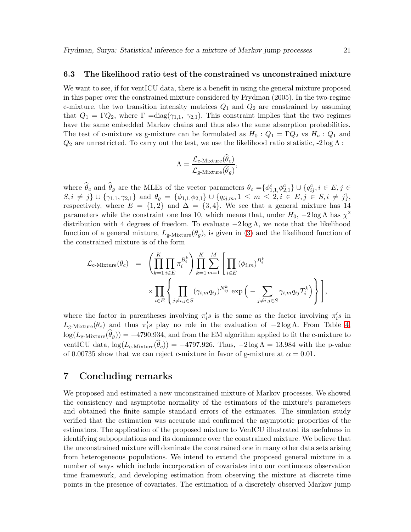#### 6.3 The likelihood ratio test of the constrained vs unconstrained mixture

We want to see, if for ventICU data, there is a benefit in using the general mixture proposed in this paper over the constrained mixture considered by Frydman (2005). In the two-regime c-mixture, the two transition intensity matrices  $Q_1$  and  $Q_2$  are constrained by assuming that  $Q_1 = \Gamma Q_2$ , where  $\Gamma = \text{diag}(\gamma_{1,1}, \gamma_{2,1})$ . This constraint implies that the two regimes have the same embedded Markov chains and thus also the same absorption probabilities. The test of c-mixture vs g-mixture can be formulated as  $H_0: Q_1 = \Gamma Q_2$  vs  $H_a: Q_1$  and  $Q_2$  are unrestricted. To carry out the test, we use the likelihood ratio statistic, -2 log  $\Lambda$ :

$$
\Lambda = \frac{\mathcal{L}_{\text{c-Mixture}}(\hat{\theta}_c)}{\mathcal{L}_{\text{g-Mixture}}(\hat{\theta}_g)},
$$

where  $\hat{\theta}_c$  and  $\hat{\theta}_g$  are the MLEs of the vector parameters  $\theta_c = {\phi_{1,1}^c, \phi_{2,1}^c} \cup {q_{ij}^c, i \in E, j \in E}$  $S, i \neq j$   $\cup$   $\{\gamma_{1,1}, \gamma_{2,1}\}$  and  $\theta_g = \{\phi_{1,1}, \phi_{2,1}\}$   $\cup$   $\{q_{ij,m}, 1 \leq m \leq 2, i \in E, j \in S, i \neq j\},$ respectively, where  $E = \{1, 2\}$  and  $\Delta = \{3, 4\}$ . We see that a general mixture has 14 parameters while the constraint one has 10, which means that, under  $H_0$ ,  $-2 \log \Lambda$  has  $\chi^2$ distribution with 4 degrees of freedom. To evaluate  $-2 \log \Lambda$ , we note that the likelihood function of a general mixture,  $L_{g-Mixture}(\theta_g)$ , is given in [\(3\)](#page-35-0) and the likelihood function of the constrained mixture is of the form

$$
\mathcal{L}_{\text{c-Mixture}}(\theta_c) = \left( \prod_{k=1}^K \prod_{i \in E} \pi_i^{B_i^k} \right) \prod_{k=1}^K \sum_{m=1}^M \left[ \prod_{i \in E} (\phi_{i,m})^{B_i^k} \right] \times \prod_{i \in E} \left\{ \prod_{j \neq i, j \in S} (\gamma_{i,m} q_{ij})^{N_{ij}^k} \exp \left( - \sum_{j \neq i, j \in S} \gamma_{i,m} q_{ij} T_i^k \right) \right\} \right],
$$

where the factor in parentheses involving  $\pi'_i s$  is the same as the factor involving  $\pi'_i s$  in  $L_{\text{g-Mixture}}(\theta_c)$  and thus  $\pi_i$ 's play no role in the evaluation of  $-2 \log \Lambda$ . From Table [4,](#page-17-1)  $\log(L_{g\text{-Mixture}}(\theta_g)) = -4790.934$ , and from the EM algorithm applied to fit the c-mixture to ventICU data,  $\log(L_{c\text{-Mixture}}(\hat{\theta}_c)) = -4797.926$ . Thus,  $-2 \log \Lambda = 13.984$  with the p-value of 0.00735 show that we can reject c-mixture in favor of g-mixture at  $\alpha = 0.01$ .

## 7 Concluding remarks

We proposed and estimated a new unconstrained mixture of Markov processes. We showed the consistency and asymptotic normality of the estimators of the mixture's parameters and obtained the finite sample standard errors of the estimates. The simulation study verified that the estimation was accurate and confirmed the asymptotic properties of the estimators. The application of the proposed mixture to VenICU illustrated its usefulness in identifying subpopulations and its dominance over the constrained mixture. We believe that the unconstrained mixture will dominate the constrained one in many other data sets arising from heterogeneous populations. We intend to extend the proposed general mixture in a number of ways which include incorporation of covariates into our continuous observation time framework, and developing estimation from observing the mixture at discrete time points in the presence of covariates. The estimation of a discretely observed Markov jump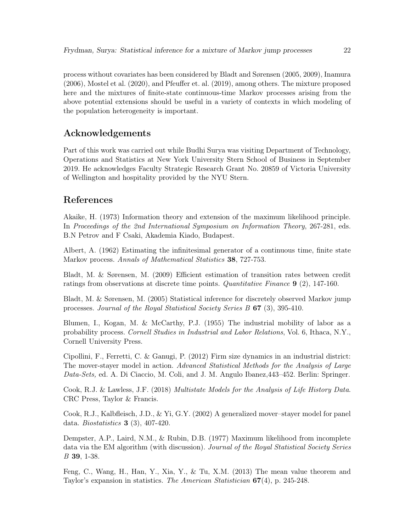process without covariates has been considered by Bladt and Sørensen (2005, 2009), Inamura (2006), Mostel et al. (2020), and Pfeuffer et. al. (2019), among others. The mixture proposed here and the mixtures of finite-state continuous-time Markov processes arising from the above potential extensions should be useful in a variety of contexts in which modeling of the population heterogeneity is important.

## Acknowledgements

Part of this work was carried out while Budhi Surya was visiting Department of Technology, Operations and Statistics at New York University Stern School of Business in September 2019. He acknowledges Faculty Strategic Research Grant No. 20859 of Victoria University of Wellington and hospitality provided by the NYU Stern.

## References

Akaike, H. (1973) Information theory and extension of the maximum likelihood principle. In Proceedings of the 2nd International Symposium on Information Theory, 267-281, eds. B.N Petrov and F Csaki, Akademia Kiado, Budapest.

Albert, A. (1962) Estimating the infinitesimal generator of a continuous time, finite state Markov process. Annals of Mathematical Statistics 38, 727-753.

Bladt, M. & Sørensen, M. (2009) Efficient estimation of transition rates between credit ratings from observations at discrete time points. Quantitative Finance 9 (2), 147-160.

Bladt, M. & Sørensen, M. (2005) Statistical inference for discretely observed Markov jump processes. Journal of the Royal Statistical Society Series B 67 (3), 395-410.

Blumen, I., Kogan, M. & McCarthy, P.J. (1955) The industrial mobility of labor as a probability process. Cornell Studies in Industrial and Labor Relations, Vol. 6, Ithaca, N.Y., Cornell University Press.

Cipollini, F., Ferretti, C. & Ganugi, P. (2012) Firm size dynamics in an industrial district: The mover-stayer model in action. Advanced Statistical Methods for the Analysis of Large Data-Sets, ed. A. Di Ciaccio, M. Coli, and J. M. Angulo Ibanez,443–452. Berlin: Springer.

Cook, R.J. & Lawless, J.F. (2018) Multistate Models for the Analysis of Life History Data. CRC Press, Taylor & Francis.

Cook, R.J., Kalbfleisch, J.D., & Yi, G.Y. (2002) A generalized mover–stayer model for panel data. Biostatistics 3 (3), 407-420.

Dempster, A.P., Laird, N.M., & Rubin, D.B. (1977) Maximum likelihood from incomplete data via the EM algorithm (with discussion). Journal of the Royal Statistical Society Series B 39, 1-38.

Feng, C., Wang, H., Han, Y., Xia, Y., & Tu, X.M. (2013) The mean value theorem and Taylor's expansion in statistics. The American Statistician 67(4), p. 245-248.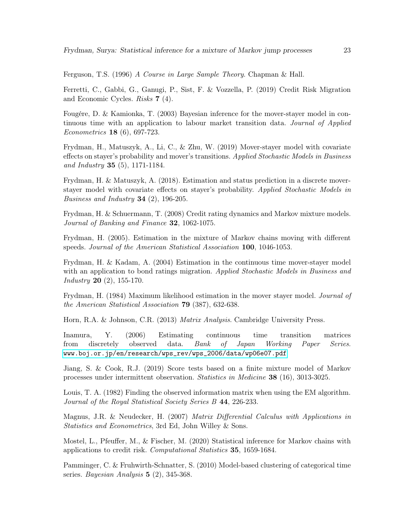Ferguson, T.S. (1996) A Course in Large Sample Theory. Chapman & Hall.

Ferretti, C., Gabbi, G., Ganugi, P., Sist, F. & Vozzella, P. (2019) Credit Risk Migration and Economic Cycles. Risks 7 (4).

Fougére, D. & Kamionka, T. (2003) Bayesian inference for the mover-stayer model in continuous time with an application to labour market transition data. Journal of Applied Econometrics 18 (6), 697-723.

Frydman, H., Matuszyk, A., Li, C., & Zhu, W. (2019) Mover-stayer model with covariate effects on stayer's probability and mover's transitions. Applied Stochastic Models in Business and Industry 35 (5), 1171-1184.

Frydman, H. & Matuszyk, A. (2018). Estimation and status prediction in a discrete moverstayer model with covariate effects on stayer's probability. Applied Stochastic Models in Business and Industry 34  $(2)$ , 196-205.

Frydman, H. & Schuermann, T. (2008) Credit rating dynamics and Markov mixture models. Journal of Banking and Finance 32, 1062-1075.

Frydman, H. (2005). Estimation in the mixture of Markov chains moving with different speeds. Journal of the American Statistical Association 100, 1046-1053.

Frydman, H. & Kadam, A. (2004) Estimation in the continuous time mover-stayer model with an application to bond ratings migration. Applied Stochastic Models in Business and Industry 20 (2), 155-170.

Frydman, H. (1984) Maximum likelihood estimation in the mover stayer model. Journal of the American Statistical Association 79 (387), 632-638.

Horn, R.A. & Johnson, C.R. (2013) Matrix Analysis. Cambridge University Press.

Inamura, Y. (2006) Estimating continuous time transition matrices from discretely observed data. Bank of Japan Working Paper Series. [www.boj.or.jp/en/research/wps\\_rev/wps\\_2006/data/wp06e07.pdf](www.boj.or.jp/en/research/wps_rev/wps_2006/data/wp06e07.pdf)

Jiang, S. & Cook, R.J. (2019) Score tests based on a finite mixture model of Markov processes under intermittent observation. Statistics in Medicine 38 (16), 3013-3025.

Louis, T. A. (1982) Finding the observed information matrix when using the EM algorithm. Journal of the Royal Statistical Society Series B 44, 226-233.

Magnus, J.R. & Neudecker, H. (2007) Matrix Differential Calculus with Applications in Statistics and Econometrics, 3rd Ed, John Willey & Sons.

Mostel, L., Pfeuffer, M., & Fischer, M. (2020) Statistical inference for Markov chains with applications to credit risk. Computational Statistics 35, 1659-1684.

Pamminger, C. & Fruhwirth-Schnatter, S. (2010) Model-based clustering of categorical time series. *Bayesian Analysis* **5** (2), 345-368.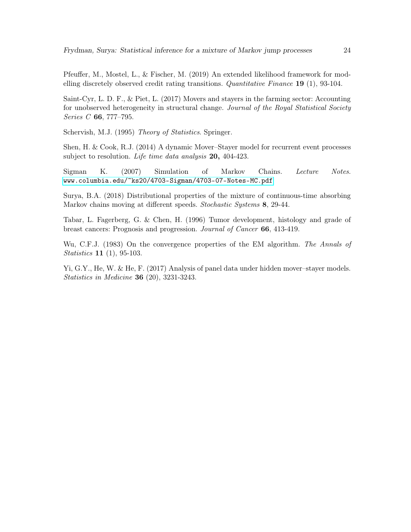Pfeuffer, M., Mostel, L., & Fischer, M. (2019) An extended likelihood framework for modelling discretely observed credit rating transitions. Quantitative Finance 19 (1), 93-104.

Saint-Cyr, L. D. F., & Piet, L. (2017) Movers and stayers in the farming sector: Accounting for unobserved heterogeneity in structural change. Journal of the Royal Statistical Society Series C 66, 777–795.

Schervish, M.J. (1995) Theory of Statistics. Springer.

Shen, H. & Cook, R.J. (2014) A dynamic Mover–Stayer model for recurrent event processes subject to resolution. Life time data analysis 20, 404-423.

Sigman K. (2007) Simulation of Markov Chains. Lecture Notes. <www.columbia.edu/~ks20/4703-Sigman/4703-07-Notes-MC.pdf>

Surya, B.A. (2018) Distributional properties of the mixture of continuous-time absorbing Markov chains moving at different speeds. Stochastic Systems 8, 29-44.

Tabar, L. Fagerberg, G. & Chen, H. (1996) Tumor development, histology and grade of breast cancers: Prognosis and progression. Journal of Cancer 66, 413-419.

Wu, C.F.J. (1983) On the convergence properties of the EM algorithm. The Annals of Statistics 11 (1), 95-103.

Yi, G.Y., He, W. & He, F. (2017) Analysis of panel data under hidden mover–stayer models. Statistics in Medicine 36 (20), 3231-3243.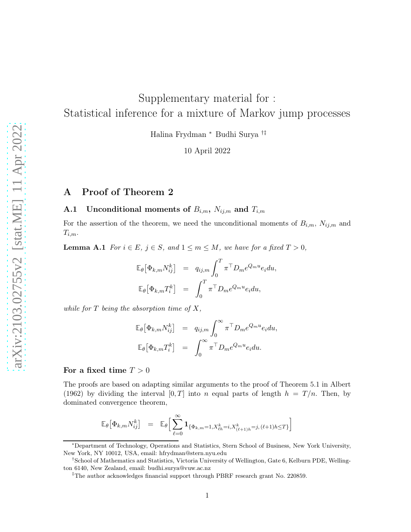# Supplementary material for : Statistical inference for a mixture of Markov jump processes

Halina Frydman <sup>∗</sup> Budhi Surya †‡

10 April 2022

## A Proof of Theorem 2

#### **A.1** Unconditional moments of  $B_{i,m}$ ,  $N_{ij,m}$  and  $T_{i,m}$

<span id="page-24-0"></span>For the assertion of the theorem, we need the unconditional moments of  $B_{i,m}$ ,  $N_{ij,m}$  and  $T_{i,m}$ .

**Lemma A.1** For  $i \in E$ ,  $j \in S$ , and  $1 \leq m \leq M$ , we have for a fixed  $T > 0$ ,

$$
\mathbb{E}_{\theta} \left[ \Phi_{k,m} N_{ij}^k \right] = q_{ij,m} \int_0^T \pi^{\top} D_m e^{Q_m u} e_i du,
$$
  

$$
\mathbb{E}_{\theta} \left[ \Phi_{k,m} T_i^k \right] = \int_0^T \pi^{\top} D_m e^{Q_m u} e_i du,
$$

while for  $T$  being the absorption time of  $X$ ,

$$
\mathbb{E}_{\theta} \left[ \Phi_{k,m} N_{ij}^k \right] = q_{ij,m} \int_0^{\infty} \pi^{\top} D_m e^{Q_m u} e_i du,
$$
  

$$
\mathbb{E}_{\theta} \left[ \Phi_{k,m} T_i^k \right] = \int_0^{\infty} \pi^{\top} D_m e^{Q_m u} e_i du.
$$

#### For a fixed time  $T > 0$

The proofs are based on adapting similar arguments to the proof of Theorem 5.1 in Albert (1962) by dividing the interval  $[0, T]$  into n equal parts of length  $h = T/n$ . Then, by dominated convergence theorem,

$$
\mathbb{E}_{\theta}\!\left[\Phi_{k,m}N_{ij}^k\right] \quad = \quad \mathbb{E}_{\theta}\!\left[\,\sum_{\ell=0}^{\infty}\mathbf{1}_{\{\Phi_{k,m}=1,X_{\ell h}^k=i,X_{(\ell+1)h}^k=j, \, (\ell+1)h\leq T\}}\right]
$$

<sup>∗</sup>Department of Technology, Operations and Statistics, Stern School of Business, New York University, New York, NY 10012, USA, email: hfrydman@stern.nyu.edu

<sup>†</sup>School of Mathematics and Statistics, Victoria University of Wellington, Gate 6, Kelburn PDE, Wellington 6140, New Zealand, email: budhi.surya@vuw.ac.nz

<sup>‡</sup>The author acknowledges financial support through PBRF research grant No. 220859.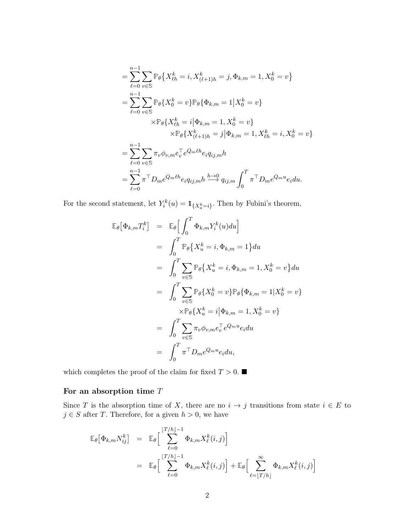$$
= \sum_{\ell=0}^{n-1} \sum_{v \in \mathbb{S}} \mathbb{P}_{\theta} \{ X_{\ell h}^k = i, X_{(\ell+1)h}^k = j, \Phi_{k,m} = 1, X_0^k = v \}
$$
  
\n
$$
= \sum_{\ell=0}^{n-1} \sum_{v \in \mathbb{S}} \mathbb{P}_{\theta} \{ X_0^k = v \} \mathbb{P}_{\theta} \{ \Phi_{k,m} = 1 | X_0^k = v \}
$$
  
\n
$$
\times \mathbb{P}_{\theta} \{ X_{\ell h}^k = i | \Phi_{k,m} = 1, X_0^k = v \}
$$
  
\n
$$
\times \mathbb{P}_{\theta} \{ X_{(\ell+1)h}^k = j | \Phi_{k,m} = 1, X_{\ell h}^k = i, X_0^k = v \}
$$
  
\n
$$
= \sum_{\ell=0}^{n-1} \sum_{v \in \mathbb{S}} \pi_v \phi_{v,m} e_v^{\top} e^{Q_m \ell h} e_i q_{ij,m} h
$$
  
\n
$$
= \sum_{\ell=0}^{n-1} \pi^{\top} D_m e^{Q_m \ell h} e_i q_{ij,m} h \stackrel{h \to 0}{\longrightarrow} q_{ij,m} \int_0^T \pi^{\top} D_m e^{Q_m u} e_i du.
$$

For the second statement, let  $Y_i^k(u) = \mathbf{1}_{\{X_u^k=i\}}$ . Then by Fubini's theorem,

$$
\mathbb{E}_{\theta}[\Phi_{k,m}T_{i}^{k}] = \mathbb{E}_{\theta}\Big[\int_{0}^{T} \Phi_{k,m}Y_{i}^{k}(u)du\Big]
$$
  
\n
$$
= \int_{0}^{T} \mathbb{P}_{\theta}\big\{X_{u}^{k} = i, \Phi_{k,m} = 1\big\} du
$$
  
\n
$$
= \int_{0}^{T} \sum_{v \in \mathbb{S}} \mathbb{P}_{\theta}\big\{X_{u}^{k} = i, \Phi_{k,m} = 1, X_{0}^{k} = v\big\} du
$$
  
\n
$$
= \int_{0}^{T} \sum_{v \in \mathbb{S}} \mathbb{P}_{\theta}\{X_{0}^{k} = v\} \mathbb{P}_{\theta}\{\Phi_{k,m} = 1 | X_{0}^{k} = v\}
$$
  
\n
$$
\times \mathbb{P}_{\theta}\{X_{u}^{k} = i | \Phi_{k,m} = 1, X_{0}^{k} = v\}
$$
  
\n
$$
= \int_{0}^{T} \sum_{v \in \mathbb{S}} \pi_{v} \phi_{v,m} e_{v}^{\top} e^{Q_{m}u} e_{i} du
$$
  
\n
$$
= \int_{0}^{T} \pi^{\top} D_{m} e^{Q_{m}u} e_{i} du,
$$

which completes the proof of the claim for fixed  $T>0.$   $\blacksquare$ 

### For an absorption time  $T$

Since T is the absorption time of X, there are no  $i \to j$  transitions from state  $i \in E$  to  $j \in S$  after T. Therefore, for a given  $h > 0$ , we have

$$
\mathbb{E}_{\theta} \big[ \Phi_{k,m} N_{ij}^k \big] = \mathbb{E}_{\theta} \bigg[ \sum_{\ell=0}^{\lfloor T/h \rfloor - 1} \Phi_{k,m} X_{\ell}^k(i,j) \bigg]
$$
  

$$
= \mathbb{E}_{\theta} \bigg[ \sum_{\ell=0}^{\lfloor T/h \rfloor - 1} \Phi_{k,m} X_{\ell}^k(i,j) \bigg] + \mathbb{E}_{\theta} \bigg[ \sum_{\ell=\lfloor T/h \rfloor}^{\infty} \Phi_{k,m} X_{\ell}^k(i,j) \bigg]
$$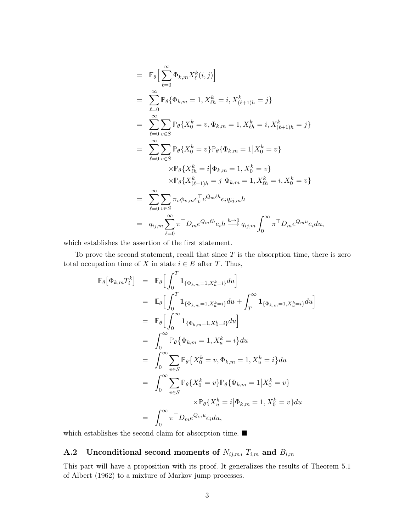$$
= \mathbb{E}_{\theta} \Big[ \sum_{\ell=0}^{\infty} \Phi_{k,m} X_{\ell}^{k}(i,j) \Big] \n= \sum_{\ell=0}^{\infty} \mathbb{P}_{\theta} \{ \Phi_{k,m} = 1, X_{\ell h}^{k} = i, X_{(\ell+1)h}^{k} = j \} \n= \sum_{\ell=0}^{\infty} \sum_{v \in S} \mathbb{P}_{\theta} \{ X_{0}^{k} = v, \Phi_{k,m} = 1, X_{\ell h}^{k} = i, X_{(\ell+1)h}^{k} = j \} \n= \sum_{\ell=0}^{\infty} \sum_{v \in S} \mathbb{P}_{\theta} \{ X_{0}^{k} = v \} \mathbb{P}_{\theta} \{ \Phi_{k,m} = 1 | X_{0}^{k} = v \} \n\times \mathbb{P}_{\theta} \{ X_{\ell h}^{k} = i | \Phi_{k,m} = 1, X_{0}^{k} = v \} \n= \sum_{\ell=0}^{\infty} \sum_{v \in S} \pi_{v} \phi_{v,m} e_{v}^{\top} e^{Q_{m} \ell h} e_{i} q_{ij,m} h \n= q_{ij,m} \sum_{\ell=0}^{\infty} \pi^{\top} D_{m} e^{Q_{m} \ell h} e_{i} h \stackrel{h \to 0}{\longrightarrow} q_{ij,m} \int_{0}^{\infty} \pi^{\top} D_{m} e^{Q_{m} u} e_{i} du,
$$

which establishes the assertion of the first statement.

To prove the second statement, recall that since  $T$  is the absorption time, there is zero total occupation time of X in state  $i \in E$  after T. Thus,

$$
\mathbb{E}_{\theta}[\Phi_{k,m}T_{i}^{k}] = \mathbb{E}_{\theta}\Big[\int_{0}^{T} \mathbf{1}_{\{\Phi_{k,m}=1,X_{u}^{k}=i\}} du\Big]
$$
  
\n
$$
= \mathbb{E}_{\theta}\Big[\int_{0}^{T} \mathbf{1}_{\{\Phi_{k,m}=1,X_{u}^{k}=i\}} du + \int_{T}^{\infty} \mathbf{1}_{\{\Phi_{k,m}=1,X_{u}^{k}=i\}} du\Big]
$$
  
\n
$$
= \mathbb{E}_{\theta}\Big[\int_{0}^{\infty} \mathbf{1}_{\{\Phi_{k,m}=1,X_{u}^{k}=i\}} du\Big]
$$
  
\n
$$
= \int_{0}^{\infty} \mathbb{P}_{\theta}\{\Phi_{k,m}=1,X_{u}^{k}=i\} du
$$
  
\n
$$
= \int_{0}^{\infty} \sum_{v \in S} \mathbb{P}_{\theta}\{X_{0}^{k}=v,\Phi_{k,m}=1,X_{u}^{k}=i\} du
$$
  
\n
$$
= \int_{0}^{\infty} \sum_{v \in S} \mathbb{P}_{\theta}\{X_{0}^{k}=v\} \mathbb{P}_{\theta}\{\Phi_{k,m}=1|X_{0}^{k}=v\}
$$
  
\n
$$
\times \mathbb{P}_{\theta}\{X_{u}^{k}=i|\Phi_{k,m}=1,X_{0}^{k}=v\} du
$$
  
\n
$$
= \int_{0}^{\infty} \pi^{T} D_{m} e^{Q_{m} u} e_{i} du,
$$

which establishes the second claim for absorption time.  $\blacksquare$ 

## A.2 Unconditional second moments of  $N_{ij,m}$ ,  $T_{i,m}$  and  $B_{i,m}$

<span id="page-26-0"></span>This part will have a proposition with its proof. It generalizes the results of Theorem 5.1 of Albert (1962) to a mixture of Markov jump processes.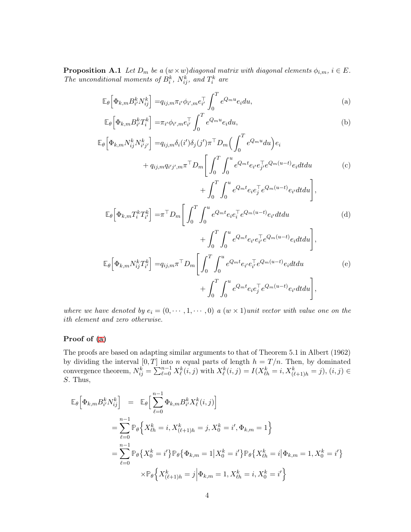**Proposition A.1** Let  $D_m$  be a  $(w \times w)$  diagonal matrix with diagonal elements  $\phi_{i,m}$ ,  $i \in E$ . The unconditional moments of  $B_i^k$ ,  $N_{ij}^k$ , and  $T_i^k$  are

<span id="page-27-4"></span><span id="page-27-3"></span><span id="page-27-2"></span><span id="page-27-1"></span><span id="page-27-0"></span> $+$ 

$$
\mathbb{E}_{\theta}\left[\Phi_{k,m}B_{i'}^{k}N_{ij}^{k}\right] = q_{ij,m}\pi_{i'}\phi_{i',m}e_{i'}^{\top}\int_{0}^{T}e^{Q_{m}u}e_{i}du,
$$
\n(a)

$$
\mathbb{E}_{\theta}\left[\Phi_{k,m}B_{i'}^{k}T_{i}^{k}\right] = \pi_{i'}\phi_{i',m}e_{i'}^{\top}\int_{0}^{T}e^{Q_{m}u}e_{i}du,
$$
\n(b)

$$
\mathbb{E}_{\theta}\Big[\Phi_{k,m}N_{ij}^{k}N_{i'j'}^{k}\Big] = q_{ij,m}\delta_{i}(i')\delta_{j}(j')\pi^{\top}D_{m}\Big(\int_{0}^{T}e^{Q_{m}u}du\Big)e_{i}
$$
  
+  $q_{ij,m}q_{i'j',m}\pi^{\top}D_{m}\Big[\int_{0}^{T}\int_{0}^{u}e^{Q_{m}t}e_{i'}e_{j'}^{\top}e^{Q_{m}(u-t)}e_{i}dtdu$   
+  $\int_{0}^{T}\int_{0}^{u}e^{Q_{m}t}e_{i}e_{j}^{\top}e^{Q_{m}(u-t)}e_{i'}dtdu\Big],$  (c)

$$
\mathbb{E}_{\theta} \left[ \Phi_{k,m} T_i^k T_{i'}^k \right] = \pi^{\top} D_m \left[ \int_0^T \int_0^u e^{Q_m t} e_i e_i^{\top} e^{Q_m(u-t)} e_{i'} dt du \right] + \int_0^T \int_u^u e^{Q_m t} e_{i'} e_{i'}^{\top} e^{Q_m(u-t)} e_i dt du \right],
$$
\n(d)

$$
\mathbb{E}_{\theta}\left[\Phi_{k,m}N_{ij}^{k}T_{i'}^{k}\right] = q_{ij,m}\pi^{\top}D_{m}\left[\int_{0}^{T}\int_{0}^{u}e^{Q_{m}t}e_{i'}e_{i'}^{\top}e^{Q_{m}(u-t)}e_{i}dtdu + \int_{0}^{T}\int_{0}^{u}e^{Q_{m}t}e_{i}e_{j}^{\top}e^{Q_{m}(u-t)}e_{i'}dtdu\right],
$$
\n
$$
(e)
$$

where we have denoted by  $e_i = (0, \dots, 1, \dots, 0)$  a  $(w \times 1)$  unit vector with value one on the ith element and zero otherwise.

#### Proof of [\(a\)](#page-27-0)

The proofs are based on adapting similar arguments to that of Theorem 5.1 in Albert (1962) by dividing the interval  $[0, T]$  into n equal parts of length  $h = T/n$ . Then, by dominated convergence theorem,  $N_{ij}^k = \sum_{\ell=0}^{n-1} X_{\ell}^k(i,j)$  with  $X_{\ell}^k(i,j) = I(X_{\ell h}^k = i, X_{(\ell+1)h}^k = j)$ ,  $(i, j) \in$ S. Thus,

$$
\mathbb{E}_{\theta} \Big[ \Phi_{k,m} B_{i'}^{k} N_{ij}^{k} \Big] = \mathbb{E}_{\theta} \Big[ \sum_{\ell=0}^{n-1} \Phi_{k,m} B_{i'}^{k} X_{\ell}^{k}(i, j) \Big]
$$
  
\n
$$
= \sum_{\ell=0}^{n-1} \mathbb{P}_{\theta} \Big\{ X_{\ell h}^{k} = i, X_{(\ell+1)h}^{k} = j, X_{0}^{k} = i', \Phi_{k,m} = 1 \Big\}
$$
  
\n
$$
= \sum_{\ell=0}^{n-1} \mathbb{P}_{\theta} \Big\{ X_{0}^{k} = i' \Big\} \mathbb{P}_{\theta} \Big\{ \Phi_{k,m} = 1 \Big| X_{0}^{k} = i' \Big\} \mathbb{P}_{\theta} \Big\{ X_{\ell h}^{k} = i \Big| \Phi_{k,m} = 1, X_{0}^{k} = i' \Big\}
$$
  
\n
$$
\times \mathbb{P}_{\theta} \Big\{ X_{(\ell+1)h}^{k} = j \Big| \Phi_{k,m} = 1, X_{\ell h}^{k} = i, X_{0}^{k} = i' \Big\}
$$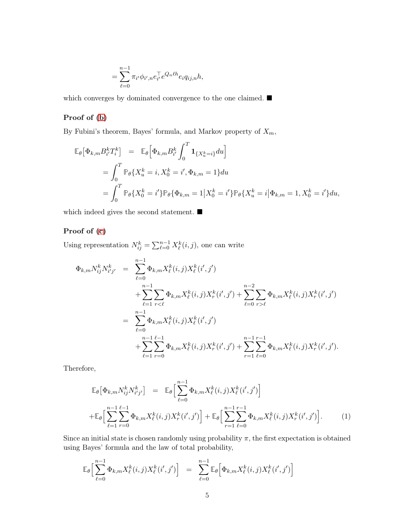$$
= \sum_{\ell=0}^{n-1} \pi_{i'} \phi_{i',n} e_{i'}^\top e^{Q_n \ell h} e_i q_{ij,n} h,
$$

which converges by dominated convergence to the one claimed.  $\blacksquare$ 

#### Proof of [\(b\)](#page-27-1)

By Fubini's theorem, Bayes' formula, and Markov property of  $X_m$ ,

$$
\mathbb{E}_{\theta} \left[ \Phi_{k,m} B_{i'}^{k} T_{i}^{k} \right] = \mathbb{E}_{\theta} \left[ \Phi_{k,m} B_{i'}^{k} \int_{0}^{T} \mathbf{1}_{\{X_{u}^{k}=i\}} du \right]
$$
  
\n
$$
= \int_{0}^{T} \mathbb{P}_{\theta} \{ X_{u}^{k} = i, X_{0}^{k} = i', \Phi_{k,m} = 1 \} du
$$
  
\n
$$
= \int_{0}^{T} \mathbb{P}_{\theta} \{ X_{0}^{k} = i' \} \mathbb{P}_{\theta} \{ \Phi_{k,m} = 1 | X_{0}^{k} = i' \} \mathbb{P}_{\theta} \{ X_{u}^{k} = i | \Phi_{k,m} = 1, X_{0}^{k} = i' \} du,
$$

which indeed gives the second statement.  $\blacksquare$ 

## Proof of [\(c\)](#page-27-2)

Using representation  $N_{ij}^k = \sum_{\ell=0}^{n-1} X_{\ell}^k(i,j)$ , one can write

$$
\Phi_{k,m} N_{ij}^{k} N_{i'j'}^{k} = \sum_{\ell=0}^{n-1} \Phi_{k,m} X_{\ell}^{k}(i,j) X_{\ell}^{k}(i',j')
$$
\n
$$
+ \sum_{\ell=1}^{n-1} \sum_{r<\ell} \Phi_{k,m} X_{\ell}^{k}(i,j) X_{r}^{k}(i',j') + \sum_{\ell=0}^{n-2} \sum_{r>\ell} \Phi_{k,m} X_{\ell}^{k}(i,j) X_{r}^{k}(i',j')
$$
\n
$$
= \sum_{\ell=0}^{n-1} \Phi_{k,m} X_{\ell}^{k}(i,j) X_{\ell}^{k}(i',j')
$$
\n
$$
+ \sum_{\ell=1}^{n-1} \sum_{r=0}^{n-1} \Phi_{k,m} X_{\ell}^{k}(i,j) X_{r}^{k}(i',j') + \sum_{r=1}^{n-1} \sum_{\ell=0}^{n-1} \Phi_{k,m} X_{\ell}^{k}(i,j) X_{r}^{k}(i',j').
$$

Therefore,

<span id="page-28-0"></span>
$$
\mathbb{E}_{\theta} \left[ \Phi_{k,m} N_{ij}^{k} N_{i'j'}^{k} \right] = \mathbb{E}_{\theta} \Big[ \sum_{\ell=0}^{n-1} \Phi_{k,m} X_{\ell}^{k}(i,j) X_{\ell}^{k}(i',j') \Big] \n+ \mathbb{E}_{\theta} \Big[ \sum_{\ell=1}^{n-1} \sum_{r=0}^{\ell-1} \Phi_{k,m} X_{\ell}^{k}(i,j) X_{r}^{k}(i',j') \Big] + \mathbb{E}_{\theta} \Big[ \sum_{r=1}^{n-1} \sum_{\ell=0}^{r-1} \Phi_{k,m} X_{\ell}^{k}(i,j) X_{r}^{k}(i',j') \Big].
$$
\n(1)

Since an initial state is chosen randomly using probability  $\pi$ , the first expectation is obtained using Bayes' formula and the law of total probability,

$$
\mathbb{E}_{\theta}\Big[\sum_{\ell=0}^{n-1} \Phi_{k,m} X_{\ell}^{k}(i,j) X_{\ell}^{k}(i',j')\Big] = \sum_{\ell=0}^{n-1} \mathbb{E}_{\theta}\Big[\Phi_{k,m} X_{\ell}^{k}(i,j) X_{\ell}^{k}(i',j')\Big]
$$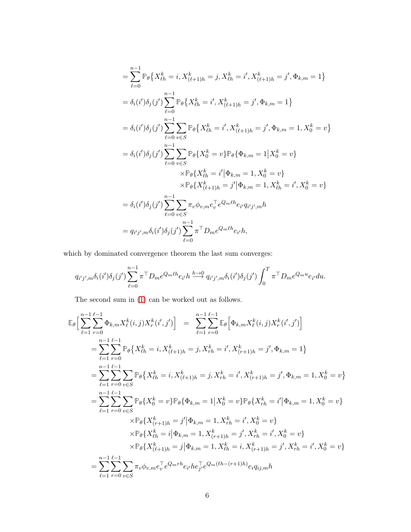$$
= \sum_{\ell=0}^{n-1} \mathbb{P}_{\theta} \{ X_{\ell h}^{k} = i, X_{(\ell+1)h}^{k} = j, X_{\ell h}^{k} = i', X_{(\ell+1)h}^{k} = j', \Phi_{k,m} = 1 \}
$$
  
\n
$$
= \delta_{i}(i') \delta_{j}(j') \sum_{\ell=0}^{n-1} \mathbb{P}_{\theta} \{ X_{\ell h}^{k} = i', X_{(\ell+1)h}^{k} = j', \Phi_{k,m} = 1 \}
$$
  
\n
$$
= \delta_{i}(i') \delta_{j}(j') \sum_{\ell=0}^{n-1} \sum_{v \in S} \mathbb{P}_{\theta} \{ X_{\ell h}^{k} = i', X_{(\ell+1)h}^{k} = j', \Phi_{k,m} = 1, X_{0}^{k} = v \}
$$
  
\n
$$
= \delta_{i}(i') \delta_{j}(j') \sum_{\ell=0}^{n-1} \sum_{v \in S} \mathbb{P}_{\theta} \{ X_{0}^{k} = v \} \mathbb{P}_{\theta} \{ \Phi_{k,m} = 1 | X_{0}^{k} = v \}
$$
  
\n
$$
\times \mathbb{P}_{\theta} \{ X_{\ell h}^{k} = i' | \Phi_{k,m} = 1, X_{0}^{k} = v \}
$$
  
\n
$$
\times \mathbb{P}_{\theta} \{ X_{(\ell+1)h}^{k} = j' | \Phi_{k,m} = 1, X_{\ell h}^{k} = i', X_{0}^{k} = v \}
$$
  
\n
$$
= \delta_{i}(i') \delta_{j}(j') \sum_{\ell=0}^{n-1} \sum_{v \in S} \pi_{v} \phi_{v,m} e_{v}^{\top} e^{Q_{m} \ell h} e_{i'} q_{i'j',m} h
$$
  
\n
$$
= q_{i'j',m} \delta_{i}(i') \delta_{j}(j') \sum_{\ell=0}^{n-1} \pi^{\top} D_{m} e^{Q_{m} \ell h} e_{i'} h,
$$

which by dominated convergence theorem the last sum converges:

$$
q_{i'j',m}\delta_i(i')\delta_j(j')\sum_{\ell=0}^{n-1}\pi^{\top}D_me^{Q_m\ell}e_{i'}h \stackrel{h\to 0}{\longrightarrow} q_{i'j',m}\delta_i(i')\delta_j(j')\int_0^T\pi^{\top}D_me^{Q_mu}e_{i'}du.
$$

The second sum in [\(1\)](#page-28-0) can be worked out as follows.

$$
\mathbb{E}_{\theta}\Big[\sum_{\ell=1}^{n-1}\sum_{r=0}^{\ell-1}\Phi_{k,m}X_{\ell}^{k}(i,j)X_{r}^{k}(i',j')\Big] = \sum_{\ell=1}^{n-1}\sum_{r=0}^{\ell-1}\mathbb{E}_{\theta}\Big[\Phi_{k,m}X_{\ell}^{k}(i,j)X_{r}^{k}(i',j')\Big]
$$
\n
$$
= \sum_{\ell=1}^{n-1}\sum_{r=0}^{\ell-1}\mathbb{P}_{\theta}\Big\{X_{\ell h}^{k} = i, X_{(\ell+1)h}^{k} = j, X_{rh}^{k} = i', X_{(r+1)h}^{k} = j', \Phi_{k,m} = 1\Big\}
$$
\n
$$
= \sum_{\ell=1}^{n-1}\sum_{r=0}^{\ell-1}\sum_{v\in S}\mathbb{P}_{\theta}\Big\{X_{\ell h}^{k} = i, X_{(\ell+1)h}^{k} = j, X_{rh}^{k} = i', X_{(r+1)h}^{k} = j', \Phi_{k,m} = 1, X_{0}^{k} = v\Big\}
$$
\n
$$
= \sum_{\ell=1}^{n-1}\sum_{r=0}^{\ell-1}\sum_{v\in S}\mathbb{P}_{\theta}\Big\{X_{0}^{k} = v\Big\}\mathbb{P}_{\theta}\Big\{\Phi_{k,m} = 1|X_{0}^{k} = v\Big\}\mathbb{P}_{\theta}\Big\{X_{rh}^{k} = i'\Big|\Phi_{k,m} = 1, X_{0}^{k} = v\Big\}
$$
\n
$$
\times\mathbb{P}_{\theta}\Big\{X_{(r+1)h}^{k} = j'\Big|\Phi_{k,m} = 1, X_{rh}^{k} = i', X_{0}^{k} = v\Big\}
$$
\n
$$
\times\mathbb{P}_{\theta}\Big\{X_{\ell h}^{k} = i|\Phi_{k,m} = 1, X_{\ell h}^{k} = i, X_{(\ell+1)h}^{k} = j', X_{rh}^{k} = i', X_{0}^{k} = v\Big\}
$$
\n
$$
= \sum_{\ell=1}^{n-1}\sum_{r=0}^{\ell-1}\sum_{v\in S}\pi_{v}\phi_{v,m}e_{v}^{\top}e^{Q_{m}rh}e_{i'}he_{j'}^{\top}e^{Q
$$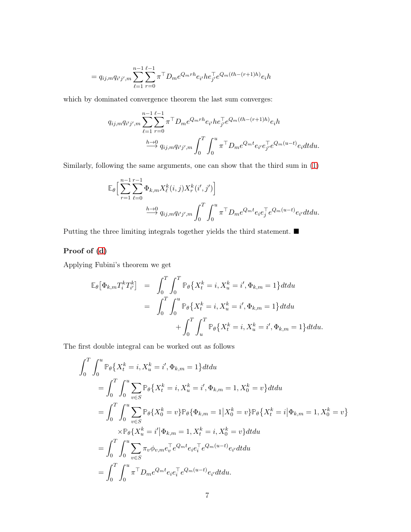$$
= q_{ij,m} q_{i'j',m} \sum_{\ell=1}^{n-1} \sum_{r=0}^{\ell-1} \pi^{\top} D_m e^{Q_m rh} e_{i'} h e_{j'}^{\top} e^{Q_m (\ell h - (r+1)h)} e_i h
$$

which by dominated convergence theorem the last sum converges:

$$
q_{ij,m} q_{i'j',m} \sum_{\ell=1}^{n-1} \sum_{r=0}^{\ell-1} \pi^{\top} D_m e^{Q_m rh} e_{i'} h e_{j'}^{\top} e^{Q_m(\ell h - (r+1)h)} e_i h
$$
  

$$
\xrightarrow{h \to 0} q_{ij,m} q_{i'j',m} \int_0^T \int_0^u \pi^{\top} D_m e^{Q_m t} e_{i'} e_{j'}^{\top} e^{Q_m(u-t)} e_i dt du.
$$

Similarly, following the same arguments, one can show that the third sum in [\(1\)](#page-28-0)

$$
\mathbb{E}_{\theta}\Big[\sum_{r=1}^{n-1}\sum_{\ell=0}^{r-1}\Phi_{k,m}X_{\ell}^{k}(i,j)X_{r}^{k}(i',j')\Big] \xrightarrow{h\to 0} q_{ij,m}q_{i'j',m}\int_{0}^{T}\int_{0}^{u}\pi^{\top}D_{m}e^{Q_{m}t}e_{i}e_{j}^{\top}e^{Q_{m}(u-t)}e_{i'}dtdu.
$$

Putting the three limiting integrals together yields the third statement.  $\blacksquare$ 

## Proof of [\(d\)](#page-27-3)

Applying Fubini's theorem we get

$$
\mathbb{E}_{\theta} \left[ \Phi_{k,m} T_i^k T_{i'}^k \right] = \int_0^T \int_0^T \mathbb{P}_{\theta} \{ X_t^k = i, X_u^k = i', \Phi_{k,m} = 1 \} dt du
$$
  

$$
= \int_0^T \int_0^u \mathbb{P}_{\theta} \{ X_t^k = i, X_u^k = i', \Phi_{k,m} = 1 \} dt du
$$
  

$$
+ \int_0^T \int_u^T \mathbb{P}_{\theta} \{ X_t^k = i, X_u^k = i', \Phi_{k,m} = 1 \} dt du.
$$

The first double integral can be worked out as follows

$$
\int_{0}^{T} \int_{0}^{u} \mathbb{P}_{\theta} \{ X_{t}^{k} = i, X_{u}^{k} = i', \Phi_{k,m} = 1 \} dt du
$$
\n
$$
= \int_{0}^{T} \int_{0}^{u} \sum_{v \in S} \mathbb{P}_{\theta} \{ X_{t}^{k} = i, X_{u}^{k} = i', \Phi_{k,m} = 1, X_{0}^{k} = v \} dt du
$$
\n
$$
= \int_{0}^{T} \int_{0}^{u} \sum_{v \in S} \mathbb{P}_{\theta} \{ X_{0}^{k} = v \} \mathbb{P}_{\theta} \{ \Phi_{k,m} = 1 | X_{0}^{k} = v \} \mathbb{P}_{\theta} \{ X_{t}^{k} = i | \Phi_{k,m} = 1, X_{0}^{k} = v \}
$$
\n
$$
\times \mathbb{P}_{\theta} \{ X_{u}^{k} = i' | \Phi_{k,m} = 1, X_{t}^{k} = i, X_{0}^{k} = v \} dt du
$$
\n
$$
= \int_{0}^{T} \int_{0}^{u} \sum_{v \in S} \pi_{v} \phi_{v,m} e_{v}^{-} e^{Q_{m} t} e_{i} e_{i}^{-} e^{Q_{m}(u-t)} e_{i'} dt du
$$
\n
$$
= \int_{0}^{T} \int_{0}^{u} \pi^{T} D_{m} e^{Q_{m} t} e_{i} e_{i}^{-} e^{Q_{m}(u-t)} e_{i'} dt du.
$$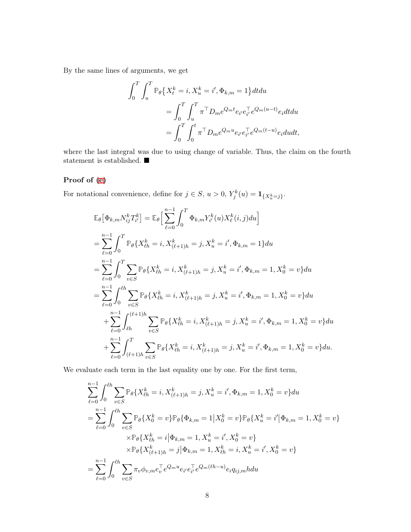By the same lines of arguments, we get

$$
\int_0^T \int_u^T \mathbb{P}_{\theta} \{ X_t^k = i, X_u^k = i', \Phi_{k,m} = 1 \} dt du
$$
  
= 
$$
\int_0^T \int_u^T \pi^{\top} D_m e^{Q_m t} e_{i'} e_{i'}^{\top} e^{Q_m (u-t)} e_i dt du
$$
  
= 
$$
\int_0^T \int_0^t \pi^{\top} D_m e^{Q_m u} e_{i'} e_{i'}^{\top} e^{Q_m (t-u)} e_i du dt,
$$

where the last integral was due to using change of variable. Thus, the claim on the fourth statement is established.  $\blacksquare$ 

## Proof of [\(e\)](#page-27-4)

For notational convenience, define for  $j \in S$ ,  $u > 0$ ,  $Y_j^k(u) = \mathbf{1}_{\{X_w^k = j\}}$ .

$$
\mathbb{E}_{\theta}[\Phi_{k,m}N_{ij}^{k}T_{i'}^{k}] = \mathbb{E}_{\theta}\Big[\sum_{\ell=0}^{n-1}\int_{0}^{T}\Phi_{k,m}Y_{i'}^{k}(u)X_{\ell}^{k}(i,j)du\Big]
$$
\n
$$
= \sum_{\ell=0}^{n-1}\int_{0}^{T}\mathbb{P}_{\theta}\{X_{\ell h}^{k} = i, X_{(\ell+1)h}^{k} = j, X_{u}^{k} = i', \Phi_{k,m} = 1\}du
$$
\n
$$
= \sum_{\ell=0}^{n-1}\int_{0}^{T}\sum_{v\in S}\mathbb{P}_{\theta}\{X_{\ell h}^{k} = i, X_{(\ell+1)h}^{k} = j, X_{u}^{k} = i', \Phi_{k,m} = 1, X_{0}^{k} = v\}du
$$
\n
$$
= \sum_{\ell=0}^{n-1}\int_{0}^{\ell h}\sum_{v\in S}\mathbb{P}_{\theta}\{X_{\ell h}^{k} = i, X_{(\ell+1)h}^{k} = j, X_{u}^{k} = i', \Phi_{k,m} = 1, X_{0}^{k} = v\}du
$$
\n
$$
+ \sum_{\ell=0}^{n-1}\int_{\ell h}^{(\ell+1)h}\sum_{v\in S}\mathbb{P}_{\theta}\{X_{\ell h}^{k} = i, X_{(\ell+1)h}^{k} = j, X_{u}^{k} = i', \Phi_{k,m} = 1, X_{0}^{k} = v\}du
$$
\n
$$
+ \sum_{\ell=0}^{n-1}\int_{(\ell+1)h}^{T}\sum_{v\in S}\mathbb{P}_{\theta}\{X_{\ell h}^{k} = i, X_{(\ell+1)h}^{k} = j, X_{u}^{k} = i', \Phi_{k,m} = 1, X_{0}^{k} = v\}du.
$$

We evaluate each term in the last equality one by one. For the first term,

$$
\sum_{\ell=0}^{n-1} \int_{0}^{\ell h} \sum_{v \in S} \mathbb{P}_{\theta} \{ X_{\ell h}^{k} = i, X_{(\ell+1)h}^{k} = j, X_{u}^{k} = i', \Phi_{k,m} = 1, X_{0}^{k} = v \} du
$$
  
= 
$$
\sum_{\ell=0}^{n-1} \int_{0}^{\ell h} \sum_{v \in S} \mathbb{P}_{\theta} \{ X_{0}^{k} = v \} \mathbb{P}_{\theta} \{ \Phi_{k,m} = 1 | X_{0}^{k} = v \} \mathbb{P}_{\theta} \{ X_{u}^{k} = i' | \Phi_{k,m} = 1, X_{0}^{k} = v \}
$$
  

$$
\times \mathbb{P}_{\theta} \{ X_{\ell h}^{k} = i | \Phi_{k,m} = 1, X_{u}^{k} = i', X_{0}^{k} = v \}
$$
  

$$
\times \mathbb{P}_{\theta} \{ X_{(\ell+1)h}^{k} = j | \Phi_{k,m} = 1, X_{\ell h}^{k} = i, X_{u}^{k} = i', X_{0}^{k} = v \}
$$
  
= 
$$
\sum_{\ell=0}^{n-1} \int_{0}^{\ell h} \sum_{v \in S} \pi_{v} \phi_{v,m} e_{v}^{\top} e^{Q_{m} u} e_{i'} e_{i'}^{\top} e^{Q_{m}(\ell h - u)} e_{i} q_{ij,m} h du
$$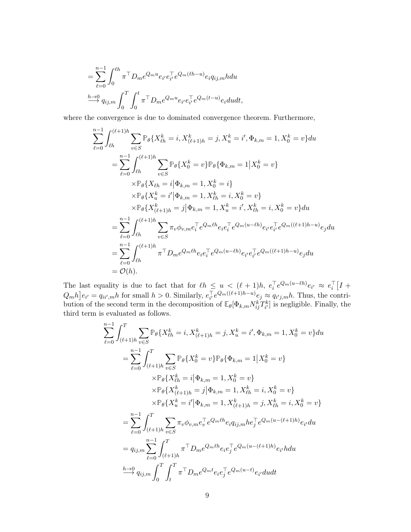$$
= \sum_{\ell=0}^{n-1} \int_0^{\ell h} \pi^{\top} D_m e^{Q_m u} e_{i'} e_{i'}^{\top} e^{Q_m(\ell h - u)} e_i q_{ij,m} h du
$$
  

$$
\xrightarrow{h \to 0} q_{ij,m} \int_0^T \int_0^t \pi^{\top} D_m e^{Q_m u} e_{i'} e_{i'}^{\top} e^{Q_m(t-u)} e_i du dt,
$$

where the convergence is due to dominated convergence theorem. Furthermore,

$$
\sum_{\ell=0}^{n-1} \int_{\ell h}^{(\ell+1)h} \sum_{v \in S} \mathbb{P}_{\theta} \{ X_{\ell h}^{k} = i, X_{(\ell+1)h}^{k} = j, X_{u}^{k} = i', \Phi_{k,m} = 1, X_{0}^{k} = v \} du
$$
  
\n
$$
= \sum_{\ell=0}^{n-1} \int_{\ell h}^{(\ell+1)h} \sum_{v \in S} \mathbb{P}_{\theta} \{ X_{0}^{k} = v \} \mathbb{P}_{\theta} \{ \Phi_{k,m} = 1 | X_{0}^{k} = v \}
$$
  
\n
$$
\times \mathbb{P}_{\theta} \{ X_{\ell h} = i | \Phi_{k,m} = 1, X_{0}^{k} = i \}
$$
  
\n
$$
\times \mathbb{P}_{\theta} \{ X_{u}^{k} = i' | \Phi_{k,m} = 1, X_{\ell h}^{k} = i, X_{0}^{k} = v \}
$$
  
\n
$$
\times \mathbb{P}_{\theta} \{ X_{(\ell+1)h}^{k} = j | \Phi_{k,m} = 1, X_{u}^{k} = i', X_{\ell h}^{k} = i, X_{0}^{k} = v \} du
$$
  
\n
$$
= \sum_{\ell=0}^{n-1} \int_{\ell h}^{(\ell+1)h} \sum_{v \in S} \pi_{v} \phi_{v,m} e_{i}^{\top} e^{Q_{m} \ell h} e_{i} e_{i}^{\top} e^{Q_{m} \left(u - \ell h\right)} e_{i'} e_{i'}^{\top} e^{Q_{m} \left(\left(\ell + 1\right)h - u\right)} e_{j} du
$$
  
\n
$$
= \sum_{\ell=0}^{n-1} \int_{\ell h}^{(\ell+1)h} \pi^{\top} D_{m} e^{Q_{m} \ell h} e_{i} e_{i}^{\top} e^{Q_{m} \left(u - \ell h\right)} e_{i'} e_{i'}^{\top} e^{Q_{m} \left(\left(\ell + 1\right)h - u\right)} e_{j} du
$$
  
\n
$$
= O(h).
$$

The last equality is due to fact that for  $\ell h \leq u < (\ell+1)h$ ,  $e_i^{\top}e^{Q_m(u-\ell h)}e_{i'} \approx e_i^{\top} [I +$  $[Q_m h]e_{i'} = q_{ii',m}h$  for small  $h > 0$ . Similarly,  $e_{i'}^{\top}e^{Q_m((\ell+1)h-u)}e_j \approx q_{i'j,m}h$ . Thus, the contribution of the second term in the decomposition of  $\mathbb{E}_{\theta}[\Phi_{k,m}N_{ij}^kT_{i'}^k]$  is negligible. Finally, the third term is evaluated as follows.

$$
\sum_{\ell=0}^{n-1} \int_{(\ell+1)h}^{T} \sum_{v \in S} \mathbb{P}_{\theta} \{ X_{\ell h}^{k} = i, X_{(\ell+1)h}^{k} = j, X_{u}^{k} = i', \Phi_{k,m} = 1, X_{0}^{k} = v \} du
$$
  
\n
$$
= \sum_{\ell=0}^{n-1} \int_{(\ell+1)h}^{T} \sum_{v \in S} \mathbb{P}_{\theta} \{ X_{0}^{k} = v \} \mathbb{P}_{\theta} \{ \Phi_{k,m} = 1 | X_{0}^{k} = v \}
$$
  
\n
$$
\times \mathbb{P}_{\theta} \{ X_{\ell h}^{k} = i | \Phi_{k,m} = 1, X_{0}^{k} = v \}
$$
  
\n
$$
\times \mathbb{P}_{\theta} \{ X_{(\ell+1)h}^{k} = j | \Phi_{k,m} = 1, X_{\ell h}^{k} = i, X_{0}^{k} = v \}
$$
  
\n
$$
\times \mathbb{P}_{\theta} \{ X_{u}^{k} = i' | \Phi_{k,m} = 1, X_{(\ell+1)h}^{k} = j, X_{\ell h}^{k} = i, X_{0}^{k} = v \}
$$
  
\n
$$
= \sum_{\ell=0}^{n-1} \int_{(\ell+1)h}^{T} \sum_{v \in S} \pi_{v} \phi_{v,m} e_{v}^{\top} e^{Q_{m} \ell h} e_{i} q_{ij,m} h e_{j}^{\top} e^{Q_{m} (u - (\ell+1)h)} e_{i'} du
$$
  
\n
$$
= q_{ij,m} \sum_{\ell=0}^{n-1} \int_{(\ell+1)h}^{T} \pi^{\top} D_{m} e^{Q_{m} \ell h} e_{i} e_{j}^{\top} e^{Q_{m} (u - (\ell+1)h)} e_{i'} du
$$
  
\n
$$
\xrightarrow{h \to 0} q_{ij,m} \int_{0}^{T} \int_{t}^{T} \pi^{\top} D_{m} e^{Q_{m} t} e_{i} e_{j}^{\top} e^{Q_{m} (u - t)} e_{i'} du dt
$$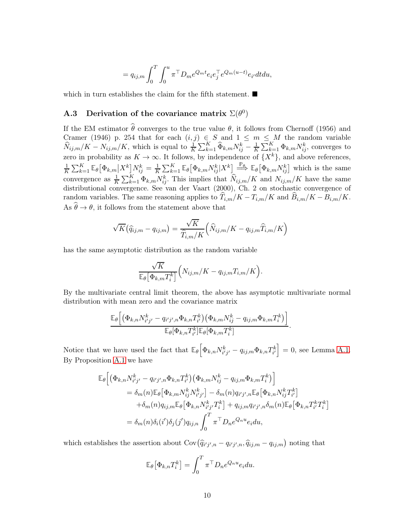$$
= q_{ij,m} \int_0^T \int_0^u \pi^\top D_m e^{Q_m t} e_i e_j^\top e^{Q_m(u-t)} e_{i'} dt du,
$$

which in turn establishes the claim for the fifth statement.  $\blacksquare$ 

## A.3 Derivation of the covariance matrix  $\Sigma(\theta^0)$

If the EM estimator  $\hat{\theta}$  converges to the true value  $\theta$ , it follows from Chernoff (1956) and Cramer (1946) p. 254 that for each  $(i, j) \in S$  and  $1 \leq m \leq M$  the random variable  $\widehat{N}_{ij,m}/K - N_{ij,m}/K$ , which is equal to  $\frac{1}{K} \sum_{k=1}^{K} \widehat{\Phi}_{k,m} N_{ij}^k - \frac{1}{K}$  $\frac{1}{K} \sum_{k=1}^{K} \Phi_{k,m} N_{ij}^k$ , converges to zero in probability as  $K \to \infty$ . It follows, by independence of  $\{X^k\}$ , and above references, 1  $\frac{1}{K}\sum_{k=1}^K \mathbb{E}_{\theta}\big[\Phi_{k,m}\big|X^k\big]N_{ij}^k = \frac{1}{K}$  $\frac{1}{K} \sum_{k=1}^K \mathbb{E}_{\theta} \left[ \Phi_{k,m} N_{ij}^k | X^k \right] \stackrel{\mathbb{P}_{\theta}}{\Longrightarrow} \mathbb{E}_{\theta} \left[ \Phi_{k,m} N_{ij}^k \right]$  which is the same convergence as  $\frac{1}{K} \sum_{k=1}^K \Phi_{k,m} N_{ij}^k$ . This implies that  $\widehat{N}_{ij,m}/K$  and  $N_{ij,m}/K$  have the same distributional convergence. See van der Vaart (2000), Ch. 2 on stochastic convergence of random variables. The same reasoning applies to  $\widehat{T}_{i,m}/K - T_{i,m}/K$  and  $\widehat{B}_{i,m}/K - B_{i,m}/K$ . As  $\widehat{\theta} \to \theta$ , it follows from the statement above that

$$
\sqrt{K}(\widehat{q}_{ij,m} - q_{ij,m}) = \frac{\sqrt{K}}{\widehat{T}_{i,m}/K} (\widehat{N}_{ij,m}/K - q_{ij,m}\widehat{T}_{i,m}/K)
$$

has the same asymptotic distribution as the random variable

$$
\frac{\sqrt{K}}{\mathbb{E}_{\theta} \left[\Phi_{k,m} T_i^k\right]} \Big(N_{ij,m}/K - q_{ij,m} T_{i,m}/K\Big).
$$

By the multivariate central limit theorem, the above has asymptotic multivariate normal distribution with mean zero and the covariance matrix

$$
\frac{\mathbb{E}_{\theta}\Big[\Big(\Phi_{k,n}N_{i'j'}^k-q_{i'j',n}\Phi_{k,n}T_{i'}^k\Big)\Big(\Phi_{k,m}N_{ij}^k-q_{ij,m}\Phi_{k,m}T_{i}^k\Big)\Big]}{\mathbb{E}_{\theta}[\Phi_{k,n}T_{i'}^k]\mathbb{E}_{\theta}[\Phi_{k,m}T_{i}^k]}.
$$

Notice that we have used the fact that  $\mathbb{E}_{\theta} \left[ \Phi_{k,n} N_{i'j'}^{k} - q_{ij,m} \Phi_{k,n} T_{i'}^{k} \right] = 0$ , see Lemma [A.1.](#page-24-0) By Proposition [A.1](#page-26-0) we have

$$
\mathbb{E}_{\theta}\Big[\Big(\Phi_{k,n}N_{i'j'}^{k} - q_{i'j',n}\Phi_{k,n}T_{i'}^{k}\Big)\Big(\Phi_{k,m}N_{ij}^{k} - q_{ij,m}\Phi_{k,m}T_{i}^{k}\Big)\Big] \n= \delta_{m}(n)\mathbb{E}_{\theta}\Big[\Phi_{k,m}N_{ij}^{k}N_{i'j'}^{k}\Big] - \delta_{m}(n)q_{i'j',n}\mathbb{E}_{\theta}\Big[\Phi_{k,n}N_{ij}^{k}T_{i'}^{k}\Big] \n+ \delta_{m}(n)q_{ij,m}\mathbb{E}_{\theta}\Big[\Phi_{k,n}N_{i'j'}^{k}T_{i}^{k}\Big] + q_{ij,m}q_{i'j',n}\delta_{m}(n)\mathbb{E}_{\theta}\Big[\Phi_{k,n}T_{i'}^{k}T_{i}^{k}\Big] \n= \delta_{m}(n)\delta_{i}(i')\delta_{j}(j')q_{ij,n}\int_{0}^{T}\pi^{T}D_{n}e^{Q_{n}u}e_{i}du,
$$

which establishes the assertion about  $Cov(\hat{q}_{i'j',n} - q_{i'j',n}, \hat{q}_{ij,m} - q_{ij,m})$  noting that

$$
\mathbb{E}_{\theta} \big[ \Phi_{k,n} T_i^k \big] = \int_0^T \pi^\top D_n e^{Q_n u} e_i du.
$$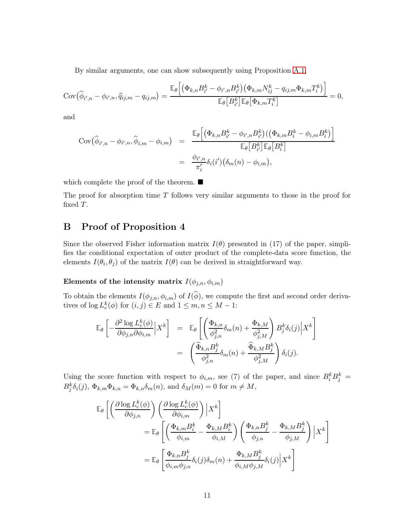By similar arguments, one can show subsequently using Proposition [A.1,](#page-26-0)

$$
Cov\left(\widehat{\phi}_{i',n} - \phi_{i',n}, \widehat{q}_{ij,m} - q_{ij,m}\right) = \frac{\mathbb{E}_{\theta}\left[\left(\Phi_{k,n}B_{i'}^{k} - \phi_{i',n}B_{i'}^{k}\right)\left(\Phi_{k,m}N_{ij}^{k} - q_{ij,m}\Phi_{k,m}T_{i}^{k}\right)\right]}{\mathbb{E}_{\theta}\left[B_{i'}^{k}\right]\mathbb{E}_{\theta}\left[\Phi_{k,m}T_{i}^{k}\right]} = 0,
$$

and

$$
Cov\left(\widehat{\phi}_{i',n} - \phi_{i',n}, \widehat{\phi}_{i,m} - \phi_{i,m}\right) = \frac{\mathbb{E}_{\theta}\left[\left(\Phi_{k,n}B_{i'}^k - \phi_{i',n}B_{i'}^k\right)\left(\left(\Phi_{k,m}B_i^k - \phi_{i,m}B_i^k\right)\right]}{\mathbb{E}_{\theta}\left[B_{i'}^k\right]\mathbb{E}_{\theta}\left[B_i^k\right]}
$$

$$
= \frac{\phi_{i',n}}{\pi_i'}\delta_i(i')\left(\delta_m(n) - \phi_{i,m}\right),
$$

which complete the proof of the theorem.  $\blacksquare$ 

The proof for absorption time  $T$  follows very similar arguments to those in the proof for fixed T.

## B Proof of Proposition 4

Since the observed Fisher information matrix  $I(\theta)$  presented in (17) of the paper, simplifies the conditional expectation of outer product of the complete-data score function, the elements  $I(\theta_i, \theta_j)$  of the matrix  $I(\theta)$  can be derived in straightforward way.

Elements of the intensity matrix  $I(\phi_{j,n},\phi_{i,m})$ 

To obtain the elements  $I(\phi_{j,n}, \phi_{i,m})$  of  $I(\phi)$ , we compute the first and second order derivatives of  $\log L_c^k(\phi)$  for  $(i, j) \in E$  and  $1 \leq m, n \leq M - 1$ :

$$
\mathbb{E}_{\theta}\left[-\frac{\partial^2 \log L_c^k(\phi)}{\partial \phi_{j,n} \partial \phi_{i,m}} \Big| X^k\right] = \mathbb{E}_{\theta}\left[\left(\frac{\Phi_{k,n}}{\phi_{j,n}^2} \delta_m(n) + \frac{\Phi_{k,M}}{\phi_{j,M}^2}\right) B_j^k \delta_i(j) \Big| X^k\right] \n= \left(\frac{\widehat{\Phi}_{k,n} B_j^k}{\phi_{j,n}^2} \delta_m(n) + \frac{\widehat{\Phi}_{k,M} B_j^k}{\phi_{j,M}^2}\right) \delta_i(j).
$$

Using the score function with respect to  $\phi_{i,m}$ , see (7) of the paper, and since  $B_i^k B_j^k =$  $B_j^k \delta_i(j)$ ,  $\Phi_{k,m} \Phi_{k,n} = \Phi_{k,n} \delta_m(n)$ , and  $\delta_M(m) = 0$  for  $m \neq M$ ,

$$
\mathbb{E}_{\theta}\left[\left(\frac{\partial \log L_{c}^{k}(\phi)}{\partial \phi_{j,n}}\right)\left(\frac{\partial \log L_{c}^{k}(\phi)}{\partial \phi_{i,m}}\right)\Big|X^{k}\right]
$$
\n
$$
=\mathbb{E}_{\theta}\left[\left(\frac{\Phi_{k,m}B_{i}^{k}}{\phi_{i,m}}-\frac{\Phi_{k,M}B_{i}^{k}}{\phi_{i,M}}\right)\left(\frac{\Phi_{k,n}B_{j}^{k}}{\phi_{j,n}}-\frac{\Phi_{k,M}B_{j}^{k}}{\phi_{j,M}}\right)\Big|X^{k}\right]
$$
\n
$$
=\mathbb{E}_{\theta}\left[\frac{\Phi_{k,n}B_{j}^{k}}{\phi_{i,m}\phi_{j,n}}\delta_{i}(j)\delta_{m}(n)+\frac{\Phi_{k,M}B_{j}^{k}}{\phi_{i,M}\phi_{j,M}}\delta_{i}(j)\Big|X^{k}\right]
$$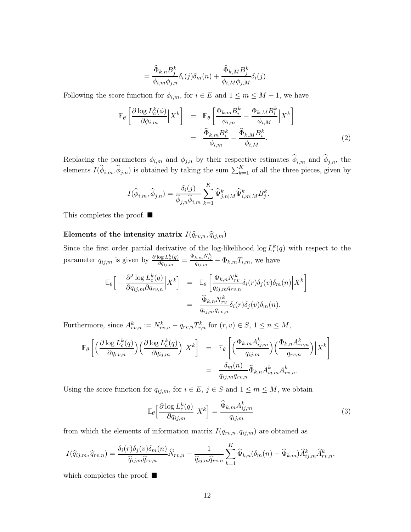$$
= \frac{\widehat{\Phi}_{k,n} B_j^k}{\phi_{i,m} \phi_{j,n}} \delta_i(j) \delta_m(n) + \frac{\widehat{\Phi}_{k,M} B_j^k}{\phi_{i,M} \phi_{j,M}} \delta_i(j).
$$

Following the score function for  $\phi_{i,m}$ , for  $i \in E$  and  $1 \leq m \leq M-1$ , we have

<span id="page-35-1"></span>
$$
\mathbb{E}_{\theta}\left[\frac{\partial \log L_c^k(\phi)}{\partial \phi_{i,m}} \Big| X^k\right] = \mathbb{E}_{\theta}\left[\frac{\Phi_{k,m}B_i^k}{\phi_{i,m}} - \frac{\Phi_{k,M}B_i^k}{\phi_{i,M}} \Big| X^k\right]
$$

$$
= \frac{\widehat{\Phi}_{k,m}B_i^k}{\phi_{i,m}} - \frac{\widehat{\Phi}_{k,M}B_i^k}{\phi_{i,M}}.
$$
(2)

Replacing the parameters  $\phi_{i,m}$  and  $\phi_{j,n}$  by their respective estimates  $\phi_{i,m}$  and  $\phi_{j,n}$ , the elements  $I(\hat{\phi}_{i,m}, \hat{\phi}_{j,n})$  is obtained by taking the sum  $\sum_{k=1}^{K}$  of all the three pieces, given by

$$
I(\widehat{\phi}_{i,m}, \widehat{\phi}_{j,n}) = \frac{\delta_i(j)}{\widehat{\phi}_{j,n} \widehat{\phi}_{i,m}} \sum_{k=1}^K \widehat{\Psi}_{j,n|M}^k \widehat{\Psi}_{i,m|M}^k B_j^k.
$$

This completes the proof. ■

## Elements of the intensity matrix  $I(\widehat{q}_{rv,n}, \widehat{q}_{ij,m})$

Since the first order partial derivative of the log-likelihood  $\log L_c^k(q)$  with respect to the parameter  $q_{ij,m}$  is given by  $\frac{\partial \log L_c^k(q)}{\partial q_{ij,m}}$  $\frac{\log L_c^k(q)}{\partial q_{ij,m}} = \frac{\Phi_{k,m} N_{ij}^k}{q_{ij,m}} - \Phi_{k,m} T_{i,m}$ , we have

$$
\mathbb{E}_{\theta}\Big[-\frac{\partial^2 \log L_c^k(q)}{\partial q_{ij,m}\partial q_{rv,n}}\Big|X^k\Big] = \mathbb{E}_{\theta}\left[\frac{\Phi_{k,n}N_{rv}^k}{q_{ij,m}q_{rv,n}}\delta_i(r)\delta_j(v)\delta_m(n)\Big|X^k\right]
$$

$$
= \frac{\widehat{\Phi}_{k,n}N_{rv}^k}{q_{ij,m}q_{rv,n}}\delta_i(r)\delta_j(v)\delta_m(n).
$$

Furthermore, since  $A_{rv,n}^k := N_{rv,n}^k - q_{rv,n} T_{r,n}^k$  for  $(r, v) \in S$ ,  $1 \le n \le M$ ,

$$
\mathbb{E}_{\theta}\left[\left(\frac{\partial \log L_{c}^{k}(q)}{\partial q_{rv,n}}\right)\left(\frac{\partial \log L_{c}^{k}(q)}{\partial q_{ij,m}}\right)\Big|X^{k}\right] = \mathbb{E}_{\theta}\left[\left(\frac{\Phi_{k,m}A_{ij,m}^{k}}{q_{ij,m}}\right)\left(\frac{\Phi_{k,n}A_{rv,n}^{k}}{q_{rv,n}}\right)\Big|X^{k}\right]
$$

$$
= \frac{\delta_{m}(n)}{q_{ij,m}q_{rv,n}}\widehat{\Phi}_{k,n}A_{ij,m}^{k}A_{rv,n}^{k}.
$$

Using the score function for  $q_{ij,m}$ , for  $i \in E$ ,  $j \in S$  and  $1 \leq m \leq M$ , we obtain

<span id="page-35-0"></span>
$$
\mathbb{E}_{\theta} \Big[ \frac{\partial \log L_c^k(q)}{\partial q_{ij,m}} \Big| X^k \Big] = \frac{\widehat{\Phi}_{k,m} A_{ij,m}^k}{q_{ij,m}} \tag{3}
$$

from which the elements of information matrix  $I(q_{rv,n}, q_{ij,m})$  are obtained as

$$
I(\widehat{q}_{ij,m},\widehat{q}_{rv,n}) = \frac{\delta_i(r)\delta_j(v)\delta_m(n)}{\widehat{q}_{ij,m}\widehat{q}_{rv,n}}\widehat{N}_{rv,n} - \frac{1}{\widehat{q}_{ij,m}\widehat{q}_{rv,n}}\sum_{k=1}^K \widehat{\Phi}_{k,n}(\delta_m(n) - \widehat{\Phi}_{k,m})\widehat{A}_{ij,m}^k\widehat{A}_{rv,n}^k,
$$

which completes the proof.  $\blacksquare$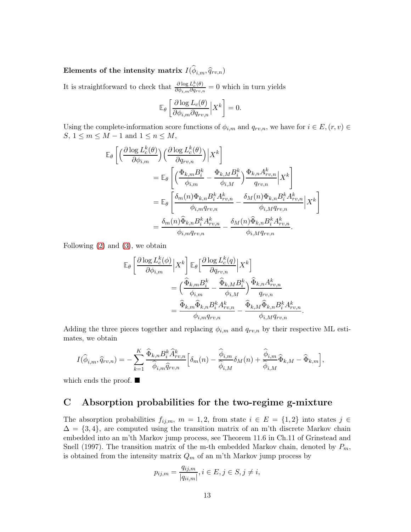# Elements of the intensity matrix  $I(\phi_{i,m}, \widehat{q}_{rv,n})$

It is straightforward to check that  $\frac{\partial \log L_{\varepsilon}^{k}(\theta)}{\partial d_{\varepsilon}}$  $\frac{\partial \log L_c(\theta)}{\partial \phi_{i,m} \partial q_{rv,n}} = 0$  which in turn yields

$$
\mathbb{E}_{\theta}\left[\frac{\partial \log L_{c}(\theta)}{\partial \phi_{i,m} \partial q_{rv,n}} \Big| X^{k}\right] = 0.
$$

Using the complete-information score functions of  $\phi_{i,m}$  and  $q_{rv,n}$ , we have for  $i \in E$ ,  $(r, v) \in$  $S, 1 \le m \le M - 1$  and  $1 \le n \le M$ ,

$$
\mathbb{E}_{\theta}\left[\left(\frac{\partial \log L_{c}^{k}(\theta)}{\partial \phi_{i,m}}\right)\left(\frac{\partial \log L_{c}^{k}(\theta)}{\partial q_{rv,n}}\right)\Big|X^{k}\right]
$$
\n
$$
=\mathbb{E}_{\theta}\left[\left(\frac{\Phi_{k,m}B_{i}^{k}}{\phi_{i,m}}-\frac{\Phi_{k,M}B_{i}^{k}}{\phi_{i,M}}\right)\frac{\Phi_{k,n}A_{rv,n}^{k}}{q_{rv,n}}\Big|X^{k}\right]
$$
\n
$$
=\mathbb{E}_{\theta}\left[\frac{\delta_{m}(n)\Phi_{k,n}B_{i}^{k}A_{rv,n}^{k}}{\phi_{i,m}q_{rv,n}}-\frac{\delta_{M}(n)\Phi_{k,n}B_{i}^{k}A_{rv,n}^{k}}{\phi_{i,M}q_{rv,n}}\Big|X^{k}\right]
$$
\n
$$
=\frac{\delta_{m}(n)\widehat{\Phi}_{k,n}B_{i}^{k}A_{rv,n}^{k}}{\phi_{i,m}q_{rv,n}}-\frac{\delta_{M}(n)\widehat{\Phi}_{k,n}B_{i}^{k}A_{rv,n}^{k}}{\phi_{i,M}q_{rv,n}}.
$$

Following [\(2\)](#page-35-1) and [\(3\)](#page-35-0), we obtain

$$
\mathbb{E}_{\theta}\left[\frac{\partial \log L_{c}^{k}(\phi)}{\partial \phi_{i,m}} \Big| X^{k}\right] \mathbb{E}_{\theta}\left[\frac{\partial \log L_{c}^{k}(q)}{\partial q_{rv,n}} \Big| X^{k}\right]
$$

$$
= \left(\frac{\widehat{\Phi}_{k,m} B_{i}^{k}}{\phi_{i,m}} - \frac{\widehat{\Phi}_{k,M} B_{i}^{k}}{\phi_{i,M}}\right) \frac{\widehat{\Phi}_{k,n} A_{rv,n}^{k}}{q_{rv,n}}
$$

$$
= \frac{\widehat{\Phi}_{k,m} \widehat{\Phi}_{k,n} B_{i}^{k} A_{rv,n}^{k}}{\phi_{i,m} q_{rv,n}} - \frac{\widehat{\Phi}_{k,M} \widehat{\Phi}_{k,n} B_{i}^{k} A_{rv,n}^{k}}{\phi_{i,M} q_{rv,n}}.
$$

Adding the three pieces together and replacing  $\phi_{i,m}$  and  $q_{rv,n}$  by their respective ML estimates, we obtain

$$
I(\widehat{\phi}_{i,m},\widehat{q}_{rv,n}) = -\sum_{k=1}^K \frac{\widehat{\Phi}_{k,n} B_i^k \widehat{A}_{rv,n}^k}{\widehat{\phi}_{i,m} \widehat{q}_{rv,n}} \Big[ \delta_m(n) - \frac{\widehat{\phi}_{i,m}}{\widehat{\phi}_{i,M}} \delta_M(n) + \frac{\widehat{\phi}_{i,m}}{\widehat{\phi}_{i,M}} \widehat{\Phi}_{k,M} - \widehat{\Phi}_{k,m} \Big],
$$

which ends the proof.  $\blacksquare$ 

## C Absorption probabilities for the two-regime g-mixture

The absorption probabilities  $f_{ij,m}$ ,  $m = 1, 2$ , from state  $i \in E = \{1, 2\}$  into states  $j \in$  $\Delta = \{3, 4\}$ , are computed using the transition matrix of an m'th discrete Markov chain embedded into an m'th Markov jump process, see Theorem 11.6 in Ch.11 of Grinstead and Snell (1997). The transition matrix of the m-th embedded Markov chain, denoted by  $P_m$ , is obtained from the intensity matrix  $Q_m$  of an m'th Markov jump process by

$$
p_{ij,m} = \frac{q_{ij,m}}{|q_{ii,m}|}, i \in E, j \in S, j \neq i,
$$